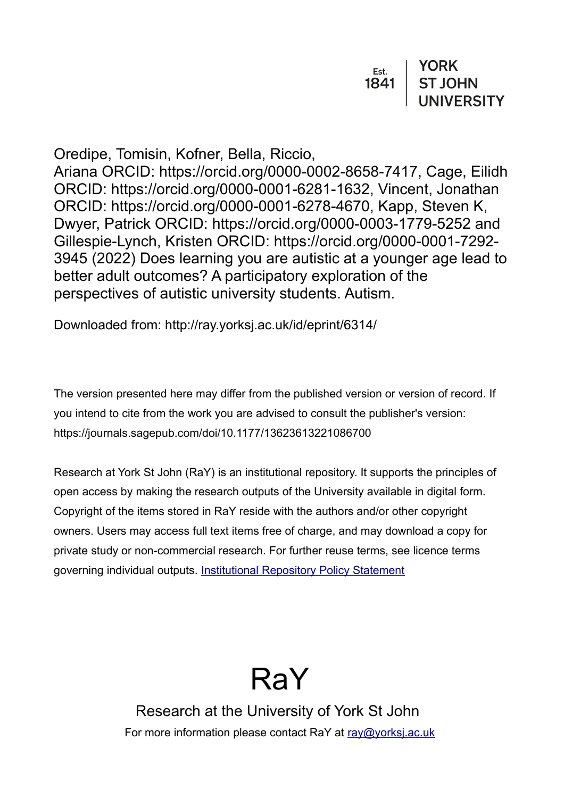| Est. | <b>YORK</b>    |
|------|----------------|
| 1841 | <b>ST JOHN</b> |
|      | UNIVERSITY     |

Oredipe, Tomisin, Kofner, Bella, Riccio,

Ariana ORCID: https://orcid.org/0000-0002-8658-7417, Cage, Eilidh ORCID: https://orcid.org/0000-0001-6281-1632, Vincent, Jonathan ORCID: https://orcid.org/0000-0001-6278-4670, Kapp, Steven K, Dwyer, Patrick ORCID: https://orcid.org/0000-0003-1779-5252 and Gillespie-Lynch, Kristen ORCID: https://orcid.org/0000-0001-7292- 3945 (2022) Does learning you are autistic at a younger age lead to better adult outcomes? A participatory exploration of the perspectives of autistic university students. Autism.

Downloaded from: http://ray.yorksj.ac.uk/id/eprint/6314/

The version presented here may differ from the published version or version of record. If you intend to cite from the work you are advised to consult the publisher's version: https://journals.sagepub.com/doi/10.1177/13623613221086700

Research at York St John (RaY) is an institutional repository. It supports the principles of open access by making the research outputs of the University available in digital form. Copyright of the items stored in RaY reside with the authors and/or other copyright owners. Users may access full text items free of charge, and may download a copy for private study or non-commercial research. For further reuse terms, see licence terms governing individual outputs. [Institutional Repository Policy Statement](https://www.yorksj.ac.uk/ils/repository-policies/)



Research at the University of York St John For more information please contact RaY at [ray@yorksj.ac.uk](mailto:ray@yorksj.ac.uk)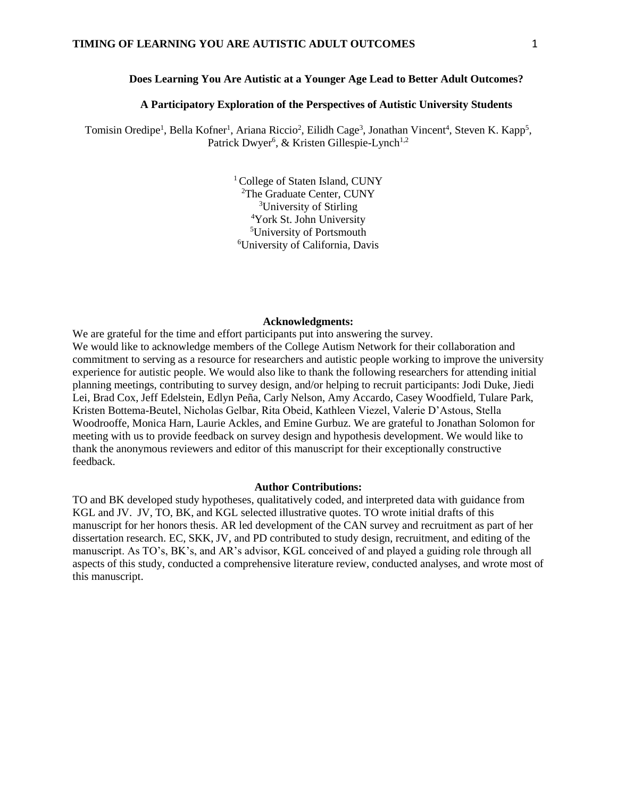#### **Does Learning You Are Autistic at a Younger Age Lead to Better Adult Outcomes?**

#### **A Participatory Exploration of the Perspectives of Autistic University Students**

Tomisin Oredipe<sup>1</sup>, Bella Kofner<sup>1</sup>, Ariana Riccio<sup>2</sup>, Eilidh Cage<sup>3</sup>, Jonathan Vincent<sup>4</sup>, Steven K. Kapp<sup>5</sup>, Patrick Dwyer<sup>6</sup>, & Kristen Gillespie-Lynch<sup>1,2</sup>

> <sup>1</sup> College of Staten Island, CUNY The Graduate Center, CUNY University of Stirling York St. John University University of Portsmouth University of California, Davis

#### **Acknowledgments:**

We are grateful for the time and effort participants put into answering the survey. We would like to acknowledge members of the College Autism Network for their collaboration and commitment to serving as a resource for researchers and autistic people working to improve the university experience for autistic people. We would also like to thank the following researchers for attending initial planning meetings, contributing to survey design, and/or helping to recruit participants: Jodi Duke, Jiedi Lei, Brad Cox, Jeff Edelstein, Edlyn Peña, Carly Nelson, Amy Accardo, Casey Woodfield, Tulare Park, Kristen Bottema-Beutel, Nicholas Gelbar, Rita Obeid, Kathleen Viezel, Valerie D'Astous, Stella Woodrooffe, Monica Harn, Laurie Ackles, and Emine Gurbuz. We are grateful to Jonathan Solomon for meeting with us to provide feedback on survey design and hypothesis development. We would like to thank the anonymous reviewers and editor of this manuscript for their exceptionally constructive feedback.

#### **Author Contributions:**

TO and BK developed study hypotheses, qualitatively coded, and interpreted data with guidance from KGL and JV. JV, TO, BK, and KGL selected illustrative quotes. TO wrote initial drafts of this manuscript for her honors thesis. AR led development of the CAN survey and recruitment as part of her dissertation research. EC, SKK, JV, and PD contributed to study design, recruitment, and editing of the manuscript. As TO's, BK's, and AR's advisor, KGL conceived of and played a guiding role through all aspects of this study, conducted a comprehensive literature review, conducted analyses, and wrote most of this manuscript.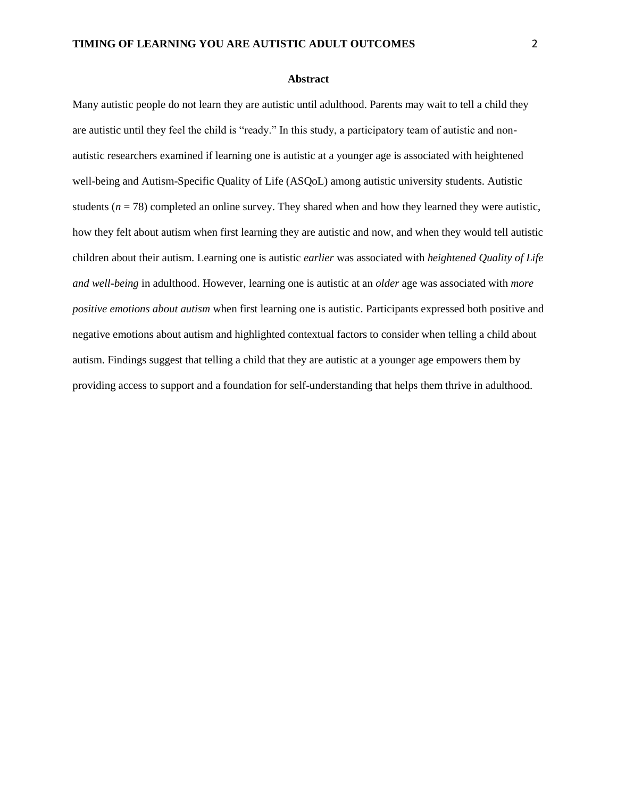#### **Abstract**

Many autistic people do not learn they are autistic until adulthood. Parents may wait to tell a child they are autistic until they feel the child is "ready." In this study, a participatory team of autistic and nonautistic researchers examined if learning one is autistic at a younger age is associated with heightened well-being and Autism-Specific Quality of Life (ASQoL) among autistic university students. Autistic students ( $n = 78$ ) completed an online survey. They shared when and how they learned they were autistic, how they felt about autism when first learning they are autistic and now, and when they would tell autistic children about their autism. Learning one is autistic *earlier* was associated with *heightened Quality of Life and well-being* in adulthood. However, learning one is autistic at an *older* age was associated with *more positive emotions about autism* when first learning one is autistic. Participants expressed both positive and negative emotions about autism and highlighted contextual factors to consider when telling a child about autism. Findings suggest that telling a child that they are autistic at a younger age empowers them by providing access to support and a foundation for self-understanding that helps them thrive in adulthood.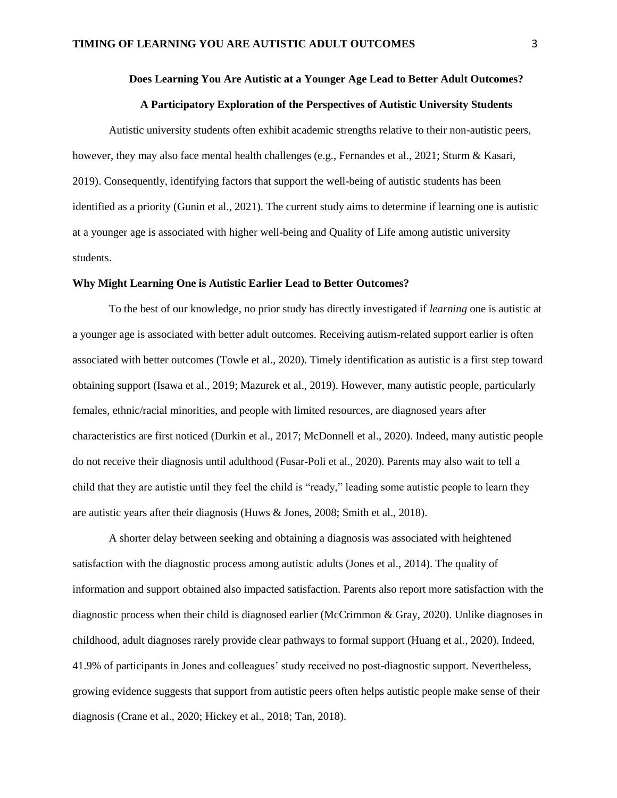#### **Does Learning You Are Autistic at a Younger Age Lead to Better Adult Outcomes?**

#### **A Participatory Exploration of the Perspectives of Autistic University Students**

Autistic university students often exhibit academic strengths relative to their non-autistic peers, however, they may also face mental health challenges (e.g., Fernandes et al., 2021; Sturm & Kasari, 2019). Consequently, identifying factors that support the well-being of autistic students has been identified as a priority (Gunin et al., 2021). The current study aims to determine if learning one is autistic at a younger age is associated with higher well-being and Quality of Life among autistic university students.

#### **Why Might Learning One is Autistic Earlier Lead to Better Outcomes?**

To the best of our knowledge, no prior study has directly investigated if *learning* one is autistic at a younger age is associated with better adult outcomes. Receiving autism-related support earlier is often associated with better outcomes (Towle et al., 2020). Timely identification as autistic is a first step toward obtaining support (Isawa et al., 2019; Mazurek et al., 2019). However, many autistic people, particularly females, ethnic/racial minorities, and people with limited resources, are diagnosed years after characteristics are first noticed (Durkin et al., 2017; McDonnell et al., 2020). Indeed, many autistic people do not receive their diagnosis until adulthood (Fusar-Poli et al., 2020). Parents may also wait to tell a child that they are autistic until they feel the child is "ready," leading some autistic people to learn they are autistic years after their diagnosis (Huws & Jones, 2008; Smith et al., 2018).

A shorter delay between seeking and obtaining a diagnosis was associated with heightened satisfaction with the diagnostic process among autistic adults (Jones et al., 2014). The quality of information and support obtained also impacted satisfaction. Parents also report more satisfaction with the diagnostic process when their child is diagnosed earlier (McCrimmon & Gray, 2020). Unlike diagnoses in childhood, adult diagnoses rarely provide clear pathways to formal support (Huang et al., 2020). Indeed, 41.9% of participants in Jones and colleagues' study received no post-diagnostic support. Nevertheless, growing evidence suggests that support from autistic peers often helps autistic people make sense of their diagnosis (Crane et al., 2020; Hickey et al., 2018; Tan, 2018).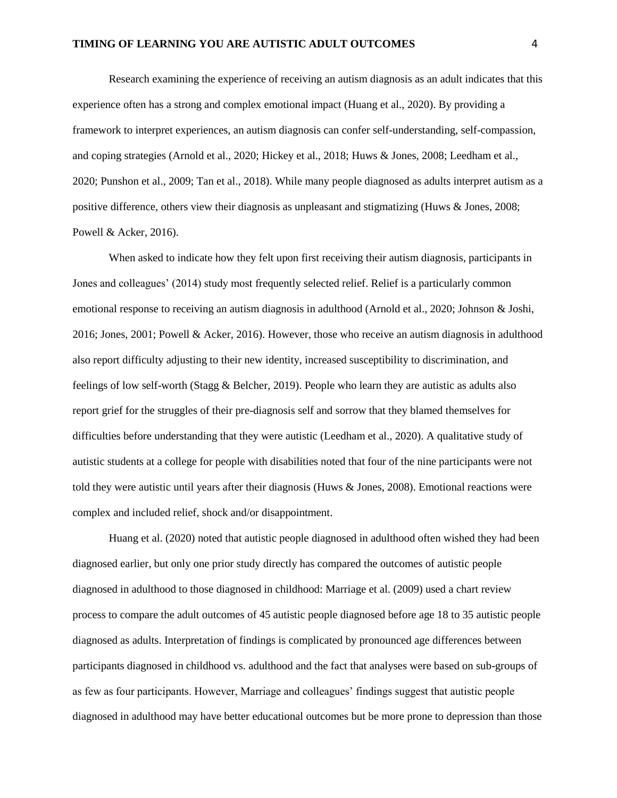Research examining the experience of receiving an autism diagnosis as an adult indicates that this experience often has a strong and complex emotional impact (Huang et al., 2020). By providing a framework to interpret experiences, an autism diagnosis can confer self-understanding, self-compassion, and coping strategies (Arnold et al., 2020; Hickey et al., 2018; Huws & Jones, 2008; Leedham et al., 2020; Punshon et al., 2009; Tan et al., 2018). While many people diagnosed as adults interpret autism as a positive difference, others view their diagnosis as unpleasant and stigmatizing (Huws & Jones, 2008; Powell & Acker, 2016).

When asked to indicate how they felt upon first receiving their autism diagnosis, participants in Jones and colleagues' (2014) study most frequently selected relief. Relief is a particularly common emotional response to receiving an autism diagnosis in adulthood (Arnold et al., 2020; Johnson & Joshi, 2016; Jones, 2001; Powell & Acker, 2016). However, those who receive an autism diagnosis in adulthood also report difficulty adjusting to their new identity, increased susceptibility to discrimination, and feelings of low self-worth (Stagg & Belcher, 2019). People who learn they are autistic as adults also report grief for the struggles of their pre-diagnosis self and sorrow that they blamed themselves for difficulties before understanding that they were autistic (Leedham et al., 2020). A qualitative study of autistic students at a college for people with disabilities noted that four of the nine participants were not told they were autistic until years after their diagnosis (Huws & Jones, 2008). Emotional reactions were complex and included relief, shock and/or disappointment.

Huang et al. (2020) noted that autistic people diagnosed in adulthood often wished they had been diagnosed earlier, but only one prior study directly has compared the outcomes of autistic people diagnosed in adulthood to those diagnosed in childhood: Marriage et al. (2009) used a chart review process to compare the adult outcomes of 45 autistic people diagnosed before age 18 to 35 autistic people diagnosed as adults. Interpretation of findings is complicated by pronounced age differences between participants diagnosed in childhood vs. adulthood and the fact that analyses were based on sub-groups of as few as four participants. However, Marriage and colleagues' findings suggest that autistic people diagnosed in adulthood may have better educational outcomes but be more prone to depression than those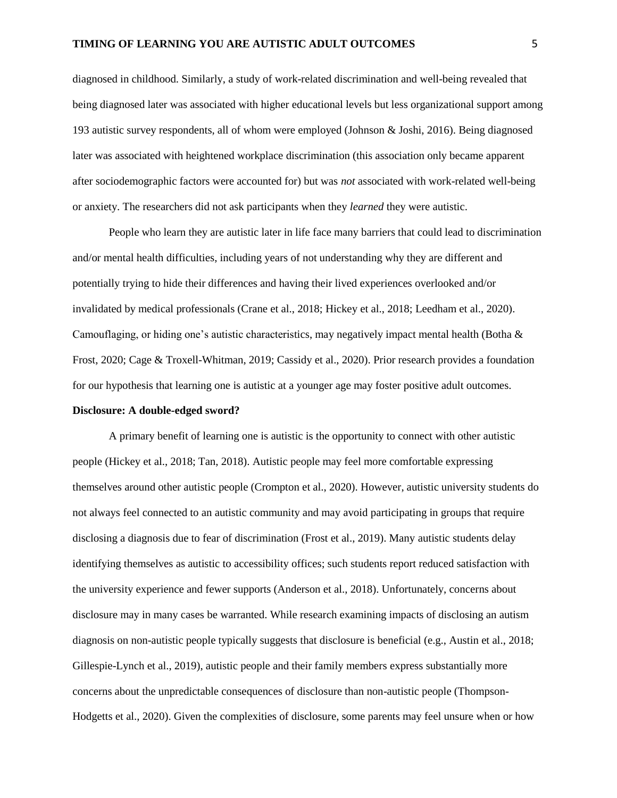diagnosed in childhood. Similarly, a study of work-related discrimination and well-being revealed that being diagnosed later was associated with higher educational levels but less organizational support among 193 autistic survey respondents, all of whom were employed (Johnson & Joshi, 2016). Being diagnosed later was associated with heightened workplace discrimination (this association only became apparent after sociodemographic factors were accounted for) but was *not* associated with work-related well-being or anxiety. The researchers did not ask participants when they *learned* they were autistic.

People who learn they are autistic later in life face many barriers that could lead to discrimination and/or mental health difficulties, including years of not understanding why they are different and potentially trying to hide their differences and having their lived experiences overlooked and/or invalidated by medical professionals (Crane et al., 2018; Hickey et al., 2018; Leedham et al., 2020). Camouflaging, or hiding one's autistic characteristics, may negatively impact mental health (Botha  $\&$ Frost, 2020; Cage & Troxell-Whitman, 2019; Cassidy et al., 2020). Prior research provides a foundation for our hypothesis that learning one is autistic at a younger age may foster positive adult outcomes.

## **Disclosure: A double-edged sword?**

A primary benefit of learning one is autistic is the opportunity to connect with other autistic people (Hickey et al., 2018; Tan, 2018). Autistic people may feel more comfortable expressing themselves around other autistic people (Crompton et al., 2020). However, autistic university students do not always feel connected to an autistic community and may avoid participating in groups that require disclosing a diagnosis due to fear of discrimination (Frost et al., 2019). Many autistic students delay identifying themselves as autistic to accessibility offices; such students report reduced satisfaction with the university experience and fewer supports (Anderson et al., 2018). Unfortunately, concerns about disclosure may in many cases be warranted. While research examining impacts of disclosing an autism diagnosis on non-autistic people typically suggests that disclosure is beneficial (e.g., Austin et al., 2018; Gillespie-Lynch et al., 2019), autistic people and their family members express substantially more concerns about the unpredictable consequences of disclosure than non-autistic people (Thompson-Hodgetts et al., 2020). Given the complexities of disclosure, some parents may feel unsure when or how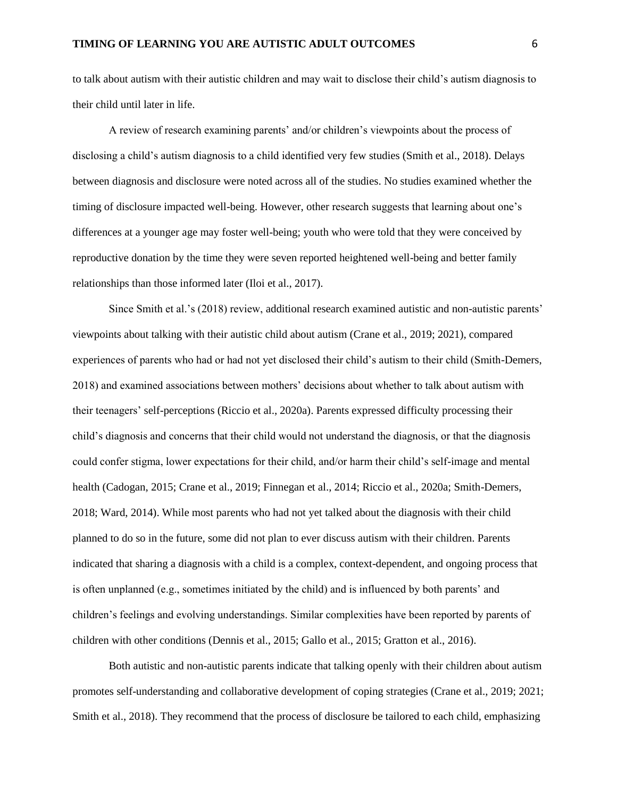to talk about autism with their autistic children and may wait to disclose their child's autism diagnosis to their child until later in life.

A review of research examining parents' and/or children's viewpoints about the process of disclosing a child's autism diagnosis to a child identified very few studies (Smith et al., 2018). Delays between diagnosis and disclosure were noted across all of the studies. No studies examined whether the timing of disclosure impacted well-being. However, other research suggests that learning about one's differences at a younger age may foster well-being; youth who were told that they were conceived by reproductive donation by the time they were seven reported heightened well-being and better family relationships than those informed later (Iloi et al., 2017).

Since Smith et al.'s (2018) review, additional research examined autistic and non-autistic parents' viewpoints about talking with their autistic child about autism (Crane et al., 2019; 2021), compared experiences of parents who had or had not yet disclosed their child's autism to their child (Smith-Demers, 2018) and examined associations between mothers' decisions about whether to talk about autism with their teenagers' self-perceptions (Riccio et al., 2020a). Parents expressed difficulty processing their child's diagnosis and concerns that their child would not understand the diagnosis, or that the diagnosis could confer stigma, lower expectations for their child, and/or harm their child's self-image and mental health (Cadogan, 2015; Crane et al., 2019; Finnegan et al., 2014; Riccio et al., 2020a; Smith-Demers, 2018; Ward, 2014). While most parents who had not yet talked about the diagnosis with their child planned to do so in the future, some did not plan to ever discuss autism with their children. Parents indicated that sharing a diagnosis with a child is a complex, context-dependent, and ongoing process that is often unplanned (e.g., sometimes initiated by the child) and is influenced by both parents' and children's feelings and evolving understandings. Similar complexities have been reported by parents of children with other conditions (Dennis et al., 2015; Gallo et al., 2015; Gratton et al., 2016).

Both autistic and non-autistic parents indicate that talking openly with their children about autism promotes self-understanding and collaborative development of coping strategies (Crane et al., 2019; 2021; Smith et al., 2018). They recommend that the process of disclosure be tailored to each child, emphasizing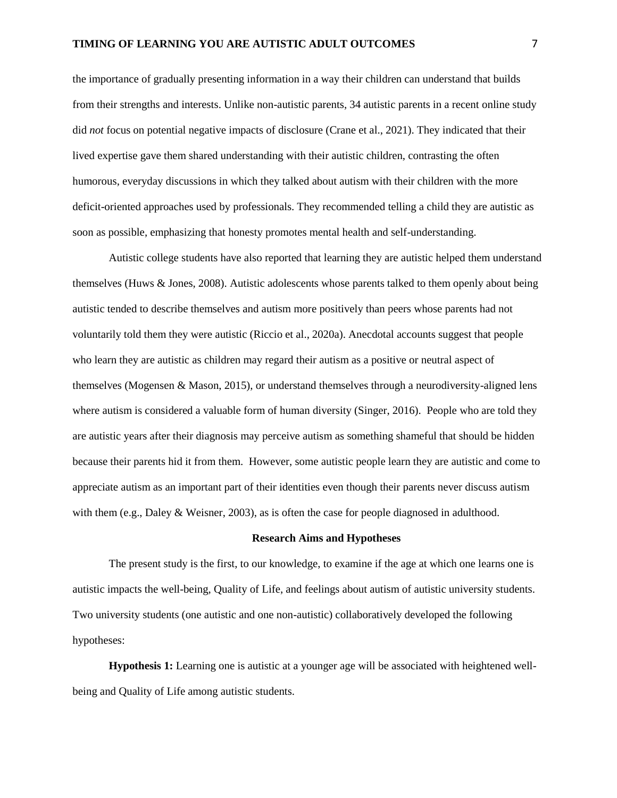the importance of gradually presenting information in a way their children can understand that builds from their strengths and interests. Unlike non-autistic parents, 34 autistic parents in a recent online study did *not* focus on potential negative impacts of disclosure (Crane et al., 2021). They indicated that their lived expertise gave them shared understanding with their autistic children, contrasting the often humorous, everyday discussions in which they talked about autism with their children with the more deficit-oriented approaches used by professionals. They recommended telling a child they are autistic as soon as possible, emphasizing that honesty promotes mental health and self-understanding.

Autistic college students have also reported that learning they are autistic helped them understand themselves (Huws & Jones, 2008). Autistic adolescents whose parents talked to them openly about being autistic tended to describe themselves and autism more positively than peers whose parents had not voluntarily told them they were autistic (Riccio et al., 2020a). Anecdotal accounts suggest that people who learn they are autistic as children may regard their autism as a positive or neutral aspect of themselves (Mogensen & Mason, 2015), or understand themselves through a neurodiversity-aligned lens where autism is considered a valuable form of human diversity (Singer, 2016). People who are told they are autistic years after their diagnosis may perceive autism as something shameful that should be hidden because their parents hid it from them. However, some autistic people learn they are autistic and come to appreciate autism as an important part of their identities even though their parents never discuss autism with them (e.g., Daley & Weisner, 2003), as is often the case for people diagnosed in adulthood.

## **Research Aims and Hypotheses**

The present study is the first, to our knowledge, to examine if the age at which one learns one is autistic impacts the well-being, Quality of Life, and feelings about autism of autistic university students. Two university students (one autistic and one non-autistic) collaboratively developed the following hypotheses:

**Hypothesis 1:** Learning one is autistic at a younger age will be associated with heightened wellbeing and Quality of Life among autistic students.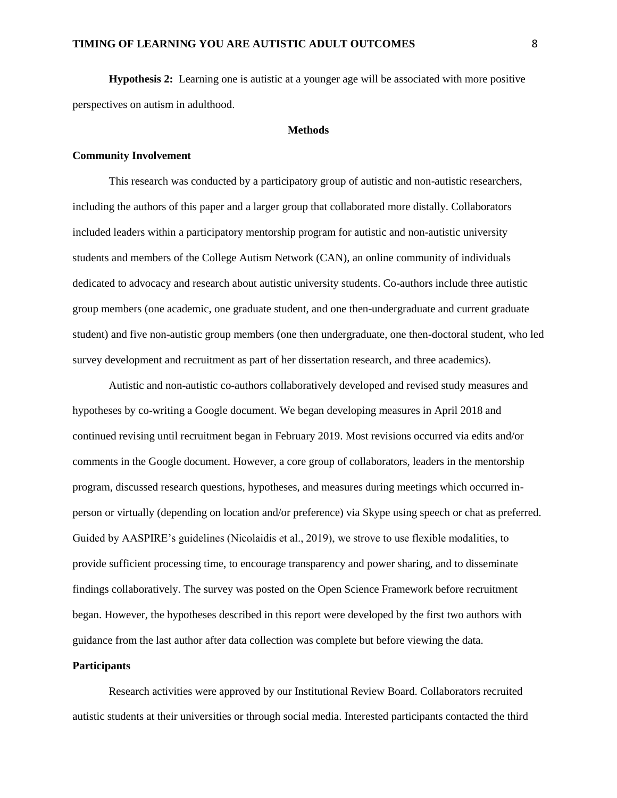## **TIMING OF LEARNING YOU ARE AUTISTIC ADULT OUTCOMES** 8

**Hypothesis 2:** Learning one is autistic at a younger age will be associated with more positive perspectives on autism in adulthood.

#### **Methods**

## **Community Involvement**

This research was conducted by a participatory group of autistic and non-autistic researchers, including the authors of this paper and a larger group that collaborated more distally. Collaborators included leaders within a participatory mentorship program for autistic and non-autistic university students and members of the College Autism Network (CAN), an online community of individuals dedicated to advocacy and research about autistic university students. Co-authors include three autistic group members (one academic, one graduate student, and one then-undergraduate and current graduate student) and five non-autistic group members (one then undergraduate, one then-doctoral student, who led survey development and recruitment as part of her dissertation research, and three academics).

Autistic and non-autistic co-authors collaboratively developed and revised study measures and hypotheses by co-writing a Google document. We began developing measures in April 2018 and continued revising until recruitment began in February 2019. Most revisions occurred via edits and/or comments in the Google document. However, a core group of collaborators, leaders in the mentorship program, discussed research questions, hypotheses, and measures during meetings which occurred inperson or virtually (depending on location and/or preference) via Skype using speech or chat as preferred. Guided by AASPIRE's guidelines (Nicolaidis et al., 2019), we strove to use flexible modalities, to provide sufficient processing time, to encourage transparency and power sharing, and to disseminate findings collaboratively. The survey was posted on the Open Science Framework before recruitment began. However, the hypotheses described in this report were developed by the first two authors with guidance from the last author after data collection was complete but before viewing the data.

#### **Participants**

Research activities were approved by our Institutional Review Board. Collaborators recruited autistic students at their universities or through social media. Interested participants contacted the third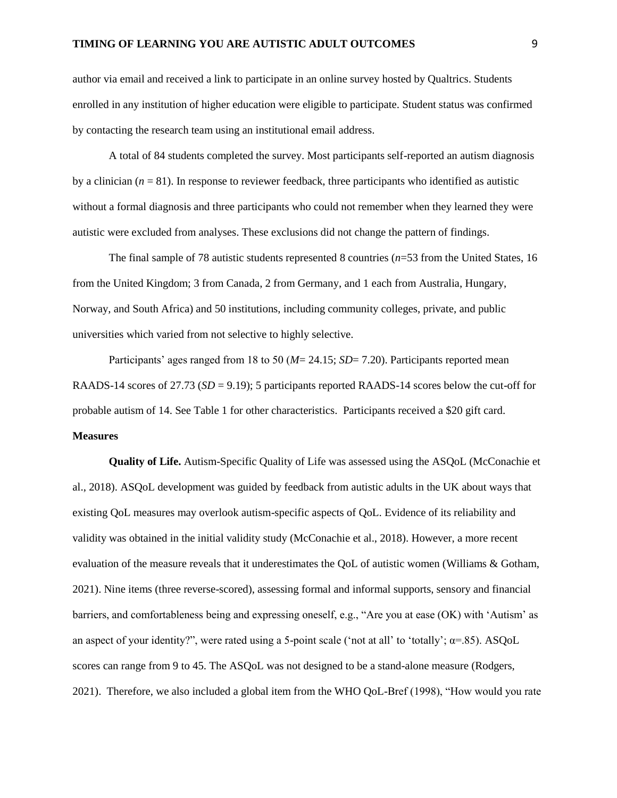author via email and received a link to participate in an online survey hosted by Qualtrics. Students enrolled in any institution of higher education were eligible to participate. Student status was confirmed by contacting the research team using an institutional email address.

A total of 84 students completed the survey. Most participants self-reported an autism diagnosis by a clinician  $(n = 81)$ . In response to reviewer feedback, three participants who identified as autistic without a formal diagnosis and three participants who could not remember when they learned they were autistic were excluded from analyses. These exclusions did not change the pattern of findings.

The final sample of 78 autistic students represented 8 countries (*n*=53 from the United States, 16 from the United Kingdom; 3 from Canada, 2 from Germany, and 1 each from Australia, Hungary, Norway, and South Africa) and 50 institutions, including community colleges, private, and public universities which varied from not selective to highly selective.

Participants' ages ranged from 18 to 50 (*M*= 24.15; *SD*= 7.20). Participants reported mean RAADS-14 scores of 27.73 (*SD* = 9.19); 5 participants reported RAADS-14 scores below the cut-off for probable autism of 14. See Table 1 for other characteristics. Participants received a \$20 gift card. **Measures**

**Quality of Life.** Autism-Specific Quality of Life was assessed using the ASQoL (McConachie et al., 2018). ASQoL development was guided by feedback from autistic adults in the UK about ways that existing QoL measures may overlook autism-specific aspects of QoL. Evidence of its reliability and validity was obtained in the initial validity study (McConachie et al., 2018). However, a more recent evaluation of the measure reveals that it underestimates the QoL of autistic women (Williams & Gotham, 2021). Nine items (three reverse-scored), assessing formal and informal supports, sensory and financial barriers, and comfortableness being and expressing oneself, e.g., "Are you at ease (OK) with 'Autism' as an aspect of your identity?", were rated using a 5-point scale ('not at all' to 'totally';  $\alpha$ =.85). ASQoL scores can range from 9 to 45. The ASQoL was not designed to be a stand-alone measure (Rodgers, 2021). Therefore, we also included a global item from the WHO QoL-Bref (1998), "How would you rate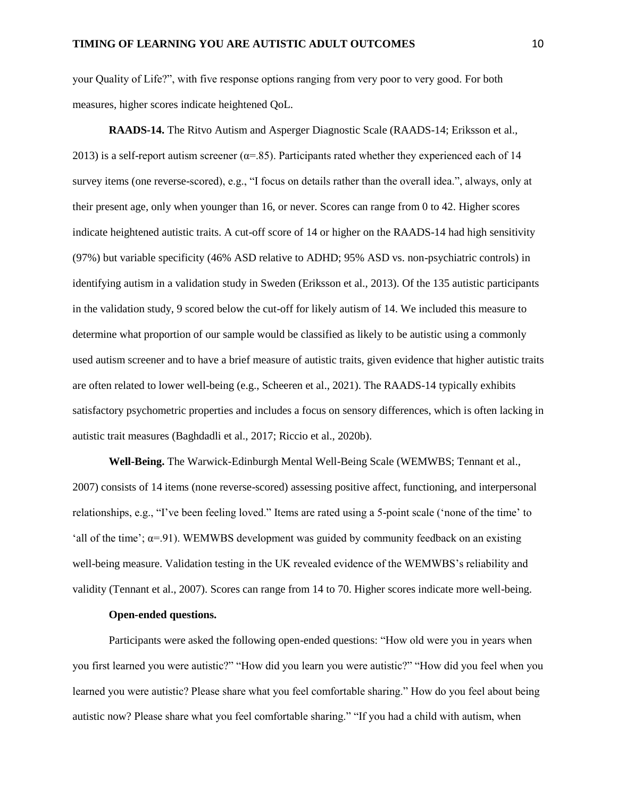your Quality of Life?", with five response options ranging from very poor to very good. For both measures, higher scores indicate heightened QoL.

**RAADS-14.** The Ritvo Autism and Asperger Diagnostic Scale (RAADS-14; Eriksson et al., 2013) is a self-report autism screener ( $\alpha$ =.85). Participants rated whether they experienced each of 14 survey items (one reverse-scored), e.g., "I focus on details rather than the overall idea.", always, only at their present age, only when younger than 16, or never. Scores can range from 0 to 42. Higher scores indicate heightened autistic traits. A cut-off score of 14 or higher on the RAADS-14 had high sensitivity (97%) but variable specificity (46% ASD relative to ADHD; 95% ASD vs. non-psychiatric controls) in identifying autism in a validation study in Sweden (Eriksson et al., 2013). Of the 135 autistic participants in the validation study, 9 scored below the cut-off for likely autism of 14. We included this measure to determine what proportion of our sample would be classified as likely to be autistic using a commonly used autism screener and to have a brief measure of autistic traits, given evidence that higher autistic traits are often related to lower well-being (e.g., Scheeren et al., 2021). The RAADS-14 typically exhibits satisfactory psychometric properties and includes a focus on sensory differences, which is often lacking in autistic trait measures (Baghdadli et al., 2017; Riccio et al., 2020b).

**Well-Being.** The Warwick-Edinburgh Mental Well-Being Scale (WEMWBS; Tennant et al., 2007) consists of 14 items (none reverse-scored) assessing positive affect, functioning, and interpersonal relationships, e.g., "I've been feeling loved." Items are rated using a 5-point scale ('none of the time' to 'all of the time';  $\alpha$ =.91). WEMWBS development was guided by community feedback on an existing well-being measure. Validation testing in the UK revealed evidence of the WEMWBS's reliability and validity (Tennant et al., 2007). Scores can range from 14 to 70. Higher scores indicate more well-being.

#### **Open-ended questions.**

Participants were asked the following open-ended questions: "How old were you in years when you first learned you were autistic?" "How did you learn you were autistic?" "How did you feel when you learned you were autistic? Please share what you feel comfortable sharing." How do you feel about being autistic now? Please share what you feel comfortable sharing." "If you had a child with autism, when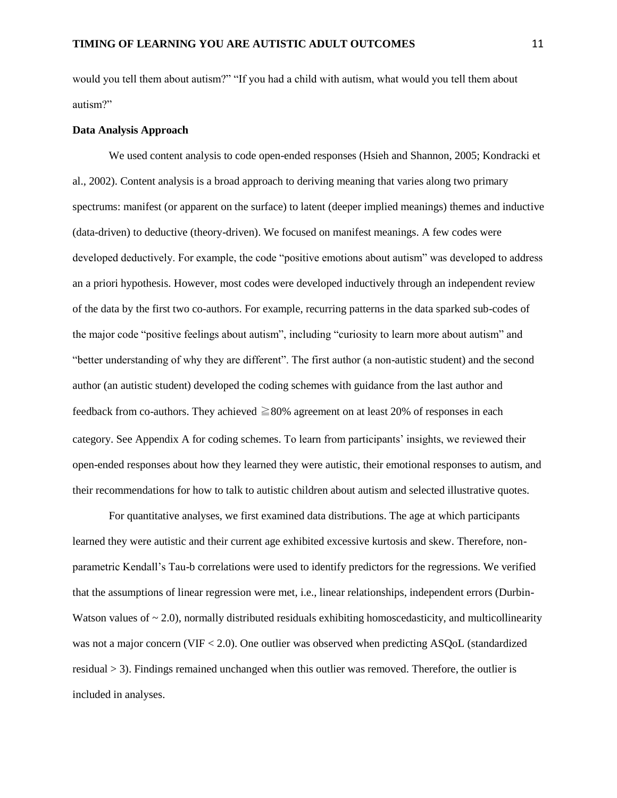would you tell them about autism?" "If you had a child with autism, what would you tell them about autism?"

#### **Data Analysis Approach**

We used content analysis to code open-ended responses (Hsieh and Shannon, 2005; Kondracki et al., 2002). Content analysis is a broad approach to deriving meaning that varies along two primary spectrums: manifest (or apparent on the surface) to latent (deeper implied meanings) themes and inductive (data-driven) to deductive (theory-driven). We focused on manifest meanings. A few codes were developed deductively. For example, the code "positive emotions about autism" was developed to address an a priori hypothesis. However, most codes were developed inductively through an independent review of the data by the first two co-authors. For example, recurring patterns in the data sparked sub-codes of the major code "positive feelings about autism", including "curiosity to learn more about autism" and "better understanding of why they are different". The first author (a non-autistic student) and the second author (an autistic student) developed the coding schemes with guidance from the last author and feedback from co-authors. They achieved  $\geq$ 80% agreement on at least 20% of responses in each category. See Appendix A for coding schemes. To learn from participants' insights, we reviewed their open-ended responses about how they learned they were autistic, their emotional responses to autism, and their recommendations for how to talk to autistic children about autism and selected illustrative quotes.

For quantitative analyses, we first examined data distributions. The age at which participants learned they were autistic and their current age exhibited excessive kurtosis and skew. Therefore, nonparametric Kendall's Tau-b correlations were used to identify predictors for the regressions. We verified that the assumptions of linear regression were met, i.e., linear relationships, independent errors (Durbin-Watson values of  $\sim$  2.0), normally distributed residuals exhibiting homoscedasticity, and multicollinearity was not a major concern (VIF < 2.0). One outlier was observed when predicting ASQoL (standardized residual  $>$  3). Findings remained unchanged when this outlier was removed. Therefore, the outlier is included in analyses.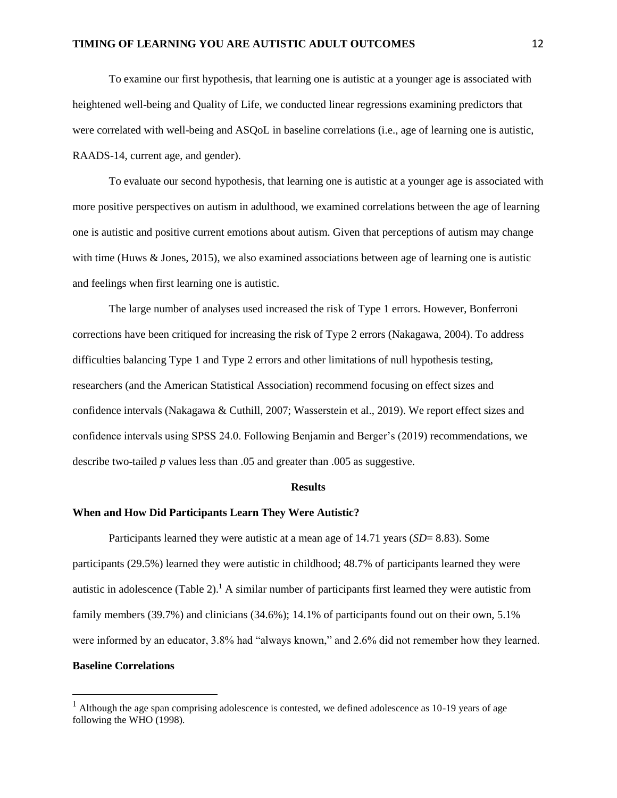## **TIMING OF LEARNING YOU ARE AUTISTIC ADULT OUTCOMES** 12

To examine our first hypothesis, that learning one is autistic at a younger age is associated with heightened well-being and Quality of Life, we conducted linear regressions examining predictors that were correlated with well-being and ASQoL in baseline correlations (i.e., age of learning one is autistic, RAADS-14, current age, and gender).

To evaluate our second hypothesis, that learning one is autistic at a younger age is associated with more positive perspectives on autism in adulthood, we examined correlations between the age of learning one is autistic and positive current emotions about autism. Given that perceptions of autism may change with time (Huws & Jones, 2015), we also examined associations between age of learning one is autistic and feelings when first learning one is autistic.

The large number of analyses used increased the risk of Type 1 errors. However, Bonferroni corrections have been critiqued for increasing the risk of Type 2 errors (Nakagawa, 2004). To address difficulties balancing Type 1 and Type 2 errors and other limitations of null hypothesis testing, researchers (and the American Statistical Association) recommend focusing on effect sizes and confidence intervals (Nakagawa & Cuthill, 2007; Wasserstein et al., 2019). We report effect sizes and confidence intervals using SPSS 24.0. Following Benjamin and Berger's (2019) recommendations, we describe two-tailed *p* values less than .05 and greater than .005 as suggestive.

#### **Results**

#### **When and How Did Participants Learn They Were Autistic?**

 $\overline{a}$ 

Participants learned they were autistic at a mean age of 14.71 years (*SD*= 8.83). Some participants (29.5%) learned they were autistic in childhood; 48.7% of participants learned they were autistic in adolescence (Table 2).<sup>1</sup> A similar number of participants first learned they were autistic from family members (39.7%) and clinicians (34.6%); 14.1% of participants found out on their own, 5.1% were informed by an educator, 3.8% had "always known," and 2.6% did not remember how they learned. **Baseline Correlations** 

<sup>&</sup>lt;sup>1</sup> Although the age span comprising adolescence is contested, we defined adolescence as  $10-19$  years of age following the WHO (1998).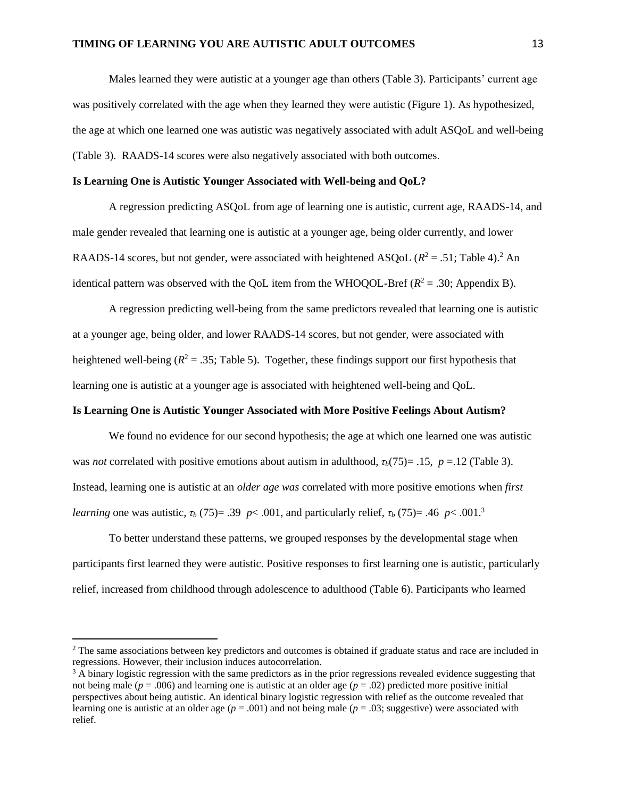Males learned they were autistic at a younger age than others (Table 3). Participants' current age was positively correlated with the age when they learned they were autistic (Figure 1). As hypothesized, the age at which one learned one was autistic was negatively associated with adult ASQoL and well-being (Table 3). RAADS-14 scores were also negatively associated with both outcomes.

#### **Is Learning One is Autistic Younger Associated with Well-being and QoL?**

A regression predicting ASQoL from age of learning one is autistic, current age, RAADS-14, and male gender revealed that learning one is autistic at a younger age, being older currently, and lower RAADS-14 scores, but not gender, were associated with heightened ASQoL  $(R^2 = .51;$  Table 4).<sup>2</sup> An identical pattern was observed with the QoL item from the WHOQOL-Bref  $(R^2 = .30)$ ; Appendix B).

A regression predicting well-being from the same predictors revealed that learning one is autistic at a younger age, being older, and lower RAADS-14 scores, but not gender, were associated with heightened well-being ( $R^2 = .35$ ; Table 5). Together, these findings support our first hypothesis that learning one is autistic at a younger age is associated with heightened well-being and QoL.

#### **Is Learning One is Autistic Younger Associated with More Positive Feelings About Autism?**

We found no evidence for our second hypothesis; the age at which one learned one was autistic was *not* correlated with positive emotions about autism in adulthood,  $\tau_b(75) = .15$ ,  $p = .12$  (Table 3). Instead, learning one is autistic at an *older age was* correlated with more positive emotions when *first learning* one was autistic,  $\tau_b$  (75)= .39 *p* < .001, and particularly relief,  $\tau_b$  (75)= .46 *p* < .001.<sup>3</sup>

To better understand these patterns, we grouped responses by the developmental stage when participants first learned they were autistic. Positive responses to first learning one is autistic, particularly relief, increased from childhood through adolescence to adulthood (Table 6). Participants who learned

 $\overline{a}$ 

<sup>&</sup>lt;sup>2</sup> The same associations between key predictors and outcomes is obtained if graduate status and race are included in regressions. However, their inclusion induces autocorrelation.

 $3$  A binary logistic regression with the same predictors as in the prior regressions revealed evidence suggesting that not being male ( $p = .006$ ) and learning one is autistic at an older age ( $p = .02$ ) predicted more positive initial perspectives about being autistic. An identical binary logistic regression with relief as the outcome revealed that learning one is autistic at an older age  $(p = .001)$  and not being male  $(p = .03)$ ; suggestive) were associated with relief.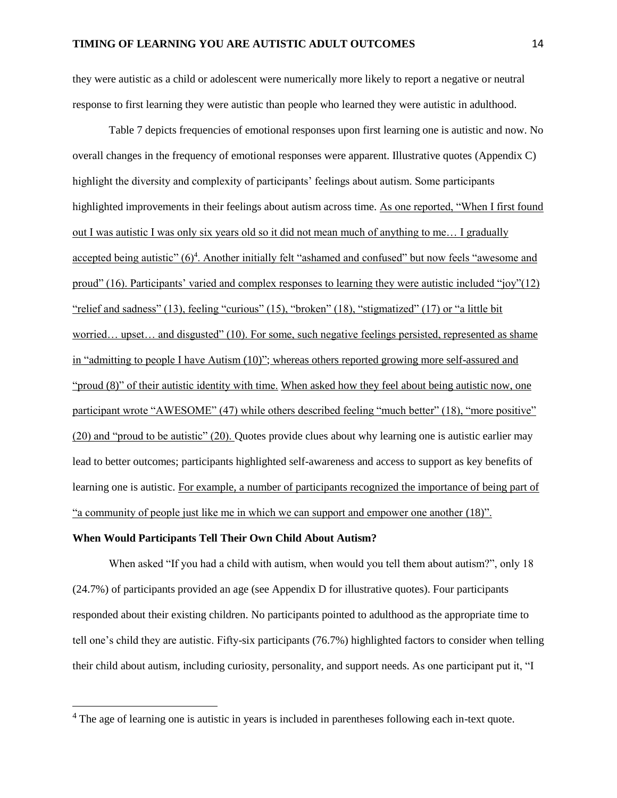they were autistic as a child or adolescent were numerically more likely to report a negative or neutral response to first learning they were autistic than people who learned they were autistic in adulthood.

Table 7 depicts frequencies of emotional responses upon first learning one is autistic and now. No overall changes in the frequency of emotional responses were apparent. Illustrative quotes (Appendix C) highlight the diversity and complexity of participants' feelings about autism. Some participants highlighted improvements in their feelings about autism across time. As one reported, "When I first found out I was autistic I was only six years old so it did not mean much of anything to me… I gradually accepted being autistic" (6)<sup>4</sup>. Another initially felt "ashamed and confused" but now feels "awesome and proud" (16). Participants' varied and complex responses to learning they were autistic included "joy"(12) "relief and sadness" (13), feeling "curious" (15), "broken" (18), "stigmatized" (17) or "a little bit worried… upset… and disgusted" (10). For some, such negative feelings persisted, represented as shame in "admitting to people I have Autism (10)"; whereas others reported growing more self-assured and "proud (8)" of their autistic identity with time. When asked how they feel about being autistic now, one participant wrote "AWESOME" (47) while others described feeling "much better" (18), "more positive" (20) and "proud to be autistic" (20). Quotes provide clues about why learning one is autistic earlier may lead to better outcomes; participants highlighted self-awareness and access to support as key benefits of learning one is autistic. For example, a number of participants recognized the importance of being part of "a community of people just like me in which we can support and empower one another (18)".

## **When Would Participants Tell Their Own Child About Autism?**

 $\overline{a}$ 

When asked "If you had a child with autism, when would you tell them about autism?", only 18 (24.7%) of participants provided an age (see Appendix D for illustrative quotes). Four participants responded about their existing children. No participants pointed to adulthood as the appropriate time to tell one's child they are autistic. Fifty-six participants (76.7%) highlighted factors to consider when telling their child about autism, including curiosity, personality, and support needs. As one participant put it, "I

<sup>&</sup>lt;sup>4</sup> The age of learning one is autistic in years is included in parentheses following each in-text quote.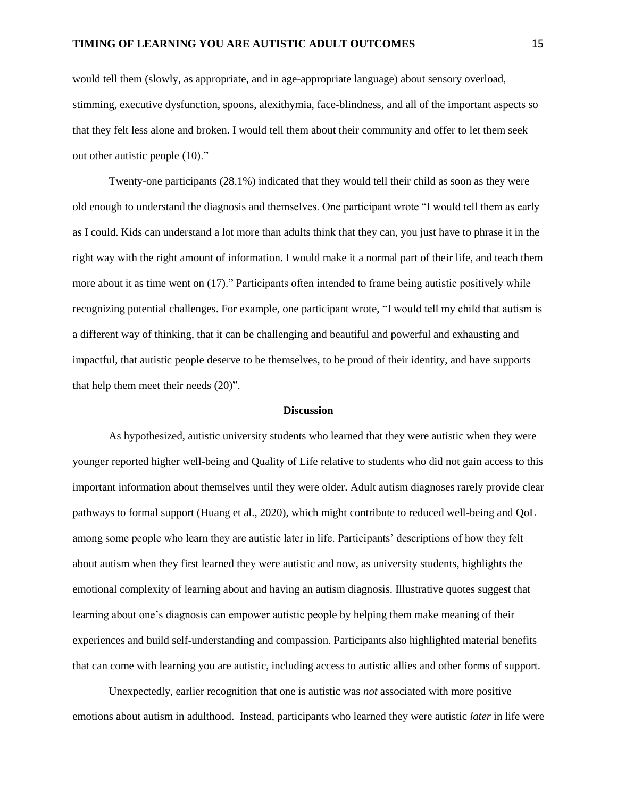would tell them (slowly, as appropriate, and in age-appropriate language) about sensory overload, stimming, executive dysfunction, spoons, alexithymia, face-blindness, and all of the important aspects so that they felt less alone and broken. I would tell them about their community and offer to let them seek out other autistic people (10)."

Twenty-one participants (28.1%) indicated that they would tell their child as soon as they were old enough to understand the diagnosis and themselves. One participant wrote "I would tell them as early as I could. Kids can understand a lot more than adults think that they can, you just have to phrase it in the right way with the right amount of information. I would make it a normal part of their life, and teach them more about it as time went on (17)." Participants often intended to frame being autistic positively while recognizing potential challenges. For example, one participant wrote, "I would tell my child that autism is a different way of thinking, that it can be challenging and beautiful and powerful and exhausting and impactful, that autistic people deserve to be themselves, to be proud of their identity, and have supports that help them meet their needs (20)".

## **Discussion**

As hypothesized, autistic university students who learned that they were autistic when they were younger reported higher well-being and Quality of Life relative to students who did not gain access to this important information about themselves until they were older. Adult autism diagnoses rarely provide clear pathways to formal support (Huang et al., 2020), which might contribute to reduced well-being and QoL among some people who learn they are autistic later in life. Participants' descriptions of how they felt about autism when they first learned they were autistic and now, as university students, highlights the emotional complexity of learning about and having an autism diagnosis. Illustrative quotes suggest that learning about one's diagnosis can empower autistic people by helping them make meaning of their experiences and build self-understanding and compassion. Participants also highlighted material benefits that can come with learning you are autistic, including access to autistic allies and other forms of support.

Unexpectedly, earlier recognition that one is autistic was *not* associated with more positive emotions about autism in adulthood. Instead, participants who learned they were autistic *later* in life were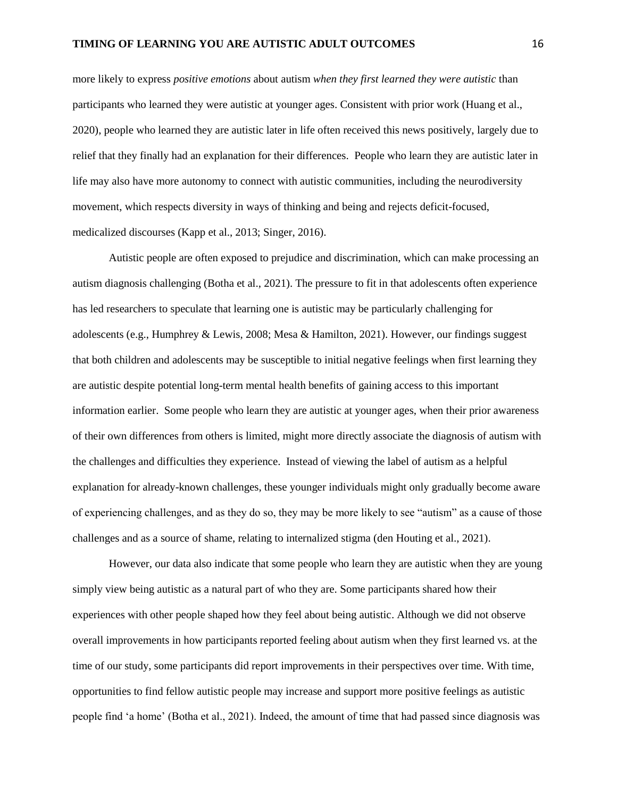more likely to express *positive emotions* about autism *when they first learned they were autistic* than participants who learned they were autistic at younger ages. Consistent with prior work (Huang et al., 2020), people who learned they are autistic later in life often received this news positively, largely due to relief that they finally had an explanation for their differences. People who learn they are autistic later in life may also have more autonomy to connect with autistic communities, including the neurodiversity movement, which respects diversity in ways of thinking and being and rejects deficit-focused, medicalized discourses (Kapp et al., 2013; Singer, 2016).

Autistic people are often exposed to prejudice and discrimination, which can make processing an autism diagnosis challenging (Botha et al., 2021). The pressure to fit in that adolescents often experience has led researchers to speculate that learning one is autistic may be particularly challenging for adolescents (e.g., Humphrey & Lewis, 2008; Mesa & Hamilton, 2021). However, our findings suggest that both children and adolescents may be susceptible to initial negative feelings when first learning they are autistic despite potential long-term mental health benefits of gaining access to this important information earlier. Some people who learn they are autistic at younger ages, when their prior awareness of their own differences from others is limited, might more directly associate the diagnosis of autism with the challenges and difficulties they experience. Instead of viewing the label of autism as a helpful explanation for already-known challenges, these younger individuals might only gradually become aware of experiencing challenges, and as they do so, they may be more likely to see "autism" as a cause of those challenges and as a source of shame, relating to internalized stigma (den Houting et al., 2021).

However, our data also indicate that some people who learn they are autistic when they are young simply view being autistic as a natural part of who they are. Some participants shared how their experiences with other people shaped how they feel about being autistic. Although we did not observe overall improvements in how participants reported feeling about autism when they first learned vs. at the time of our study, some participants did report improvements in their perspectives over time. With time, opportunities to find fellow autistic people may increase and support more positive feelings as autistic people find 'a home' (Botha et al., 2021). Indeed, the amount of time that had passed since diagnosis was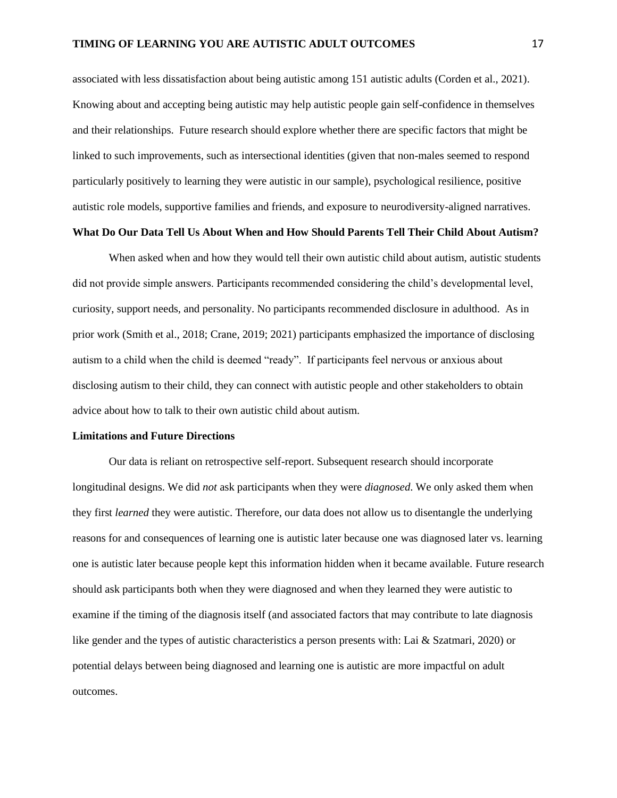associated with less dissatisfaction about being autistic among 151 autistic adults (Corden et al., 2021). Knowing about and accepting being autistic may help autistic people gain self-confidence in themselves and their relationships. Future research should explore whether there are specific factors that might be linked to such improvements, such as intersectional identities (given that non-males seemed to respond particularly positively to learning they were autistic in our sample), psychological resilience, positive autistic role models, supportive families and friends, and exposure to neurodiversity-aligned narratives.

## **What Do Our Data Tell Us About When and How Should Parents Tell Their Child About Autism?**

When asked when and how they would tell their own autistic child about autism, autistic students did not provide simple answers. Participants recommended considering the child's developmental level, curiosity, support needs, and personality. No participants recommended disclosure in adulthood. As in prior work (Smith et al., 2018; Crane, 2019; 2021) participants emphasized the importance of disclosing autism to a child when the child is deemed "ready". If participants feel nervous or anxious about disclosing autism to their child, they can connect with autistic people and other stakeholders to obtain advice about how to talk to their own autistic child about autism.

#### **Limitations and Future Directions**

Our data is reliant on retrospective self-report. Subsequent research should incorporate longitudinal designs. We did *not* ask participants when they were *diagnosed*. We only asked them when they first *learned* they were autistic. Therefore, our data does not allow us to disentangle the underlying reasons for and consequences of learning one is autistic later because one was diagnosed later vs. learning one is autistic later because people kept this information hidden when it became available. Future research should ask participants both when they were diagnosed and when they learned they were autistic to examine if the timing of the diagnosis itself (and associated factors that may contribute to late diagnosis like gender and the types of autistic characteristics a person presents with: Lai & Szatmari, 2020) or potential delays between being diagnosed and learning one is autistic are more impactful on adult outcomes.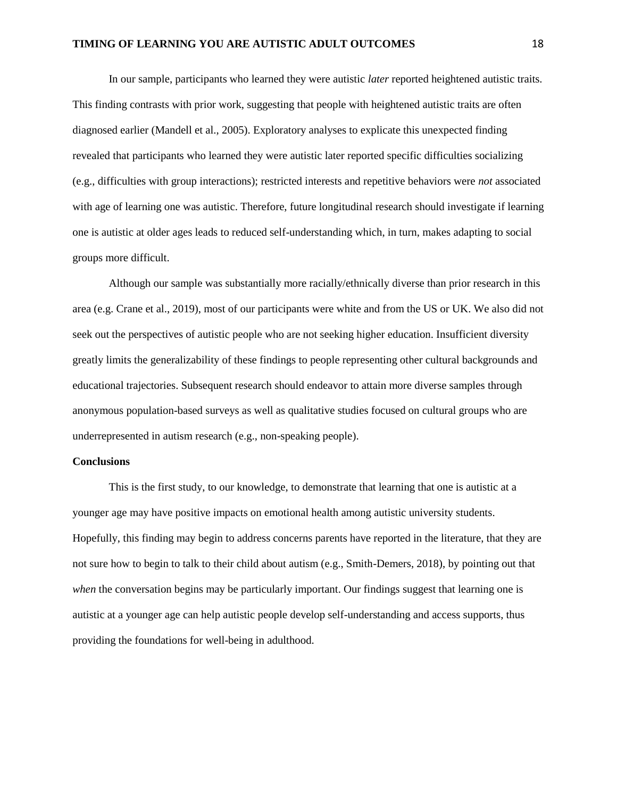In our sample, participants who learned they were autistic *later* reported heightened autistic traits. This finding contrasts with prior work, suggesting that people with heightened autistic traits are often diagnosed earlier (Mandell et al., 2005). Exploratory analyses to explicate this unexpected finding revealed that participants who learned they were autistic later reported specific difficulties socializing (e.g., difficulties with group interactions); restricted interests and repetitive behaviors were *not* associated with age of learning one was autistic. Therefore, future longitudinal research should investigate if learning one is autistic at older ages leads to reduced self-understanding which, in turn, makes adapting to social groups more difficult.

Although our sample was substantially more racially/ethnically diverse than prior research in this area (e.g. Crane et al., 2019), most of our participants were white and from the US or UK. We also did not seek out the perspectives of autistic people who are not seeking higher education. Insufficient diversity greatly limits the generalizability of these findings to people representing other cultural backgrounds and educational trajectories. Subsequent research should endeavor to attain more diverse samples through anonymous population-based surveys as well as qualitative studies focused on cultural groups who are underrepresented in autism research (e.g., non-speaking people).

## **Conclusions**

This is the first study, to our knowledge, to demonstrate that learning that one is autistic at a younger age may have positive impacts on emotional health among autistic university students. Hopefully, this finding may begin to address concerns parents have reported in the literature, that they are not sure how to begin to talk to their child about autism (e.g., Smith-Demers, 2018), by pointing out that *when* the conversation begins may be particularly important. Our findings suggest that learning one is autistic at a younger age can help autistic people develop self-understanding and access supports, thus providing the foundations for well-being in adulthood.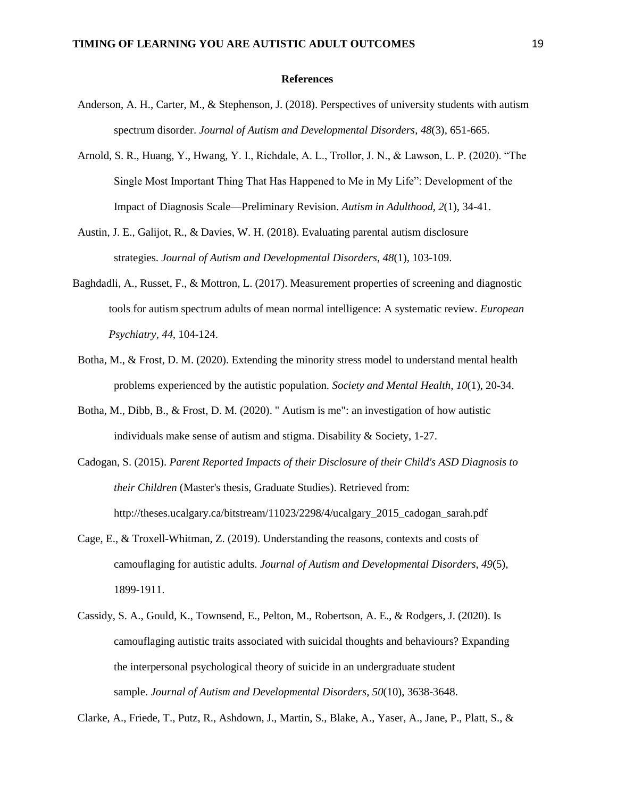#### **References**

- Anderson, A. H., Carter, M., & Stephenson, J. (2018). Perspectives of university students with autism spectrum disorder. *Journal of Autism and Developmental Disorders*, *48*(3), 651-665.
- Arnold, S. R., Huang, Y., Hwang, Y. I., Richdale, A. L., Trollor, J. N., & Lawson, L. P. (2020). "The Single Most Important Thing That Has Happened to Me in My Life": Development of the Impact of Diagnosis Scale—Preliminary Revision. *Autism in Adulthood*, *2*(1), 34-41.
- Austin, J. E., Galijot, R., & Davies, W. H. (2018). Evaluating parental autism disclosure strategies. *Journal of Autism and Developmental Disorders*, *48*(1), 103-109.
- Baghdadli, A., Russet, F., & Mottron, L. (2017). Measurement properties of screening and diagnostic tools for autism spectrum adults of mean normal intelligence: A systematic review. *European Psychiatry, 44,* 104-124.
- Botha, M., & Frost, D. M. (2020). Extending the minority stress model to understand mental health problems experienced by the autistic population. *Society and Mental Health*, *10*(1), 20-34.
- Botha, M., Dibb, B., & Frost, D. M. (2020). " Autism is me": an investigation of how autistic individuals make sense of autism and stigma. Disability & Society, 1-27.
- Cadogan, S. (2015). *Parent Reported Impacts of their Disclosure of their Child's ASD Diagnosis to their Children* (Master's thesis, Graduate Studies). Retrieved from: http://theses.ucalgary.ca/bitstream/11023/2298/4/ucalgary\_2015\_cadogan\_sarah.pdf
- Cage, E., & Troxell-Whitman, Z. (2019). Understanding the reasons, contexts and costs of camouflaging for autistic adults. *Journal of Autism and Developmental Disorders*, *49*(5), 1899-1911.
- Cassidy, S. A., Gould, K., Townsend, E., Pelton, M., Robertson, A. E., & Rodgers, J. (2020). Is camouflaging autistic traits associated with suicidal thoughts and behaviours? Expanding the interpersonal psychological theory of suicide in an undergraduate student sample. *Journal of Autism and Developmental Disorders*, *50*(10), 3638-3648.

Clarke, A., Friede, T., Putz, R., Ashdown, J., Martin, S., Blake, A., Yaser, A., Jane, P., Platt, S., &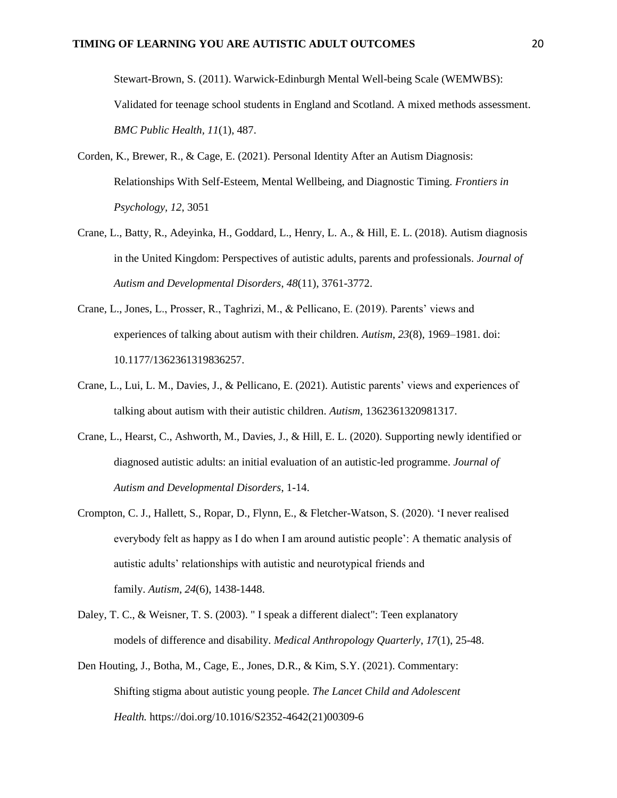Stewart-Brown, S. (2011). Warwick-Edinburgh Mental Well-being Scale (WEMWBS): Validated for teenage school students in England and Scotland. A mixed methods assessment. *BMC Public Health, 11*(1), 487.

- Corden, K., Brewer, R., & Cage, E. (2021). Personal Identity After an Autism Diagnosis: Relationships With Self-Esteem, Mental Wellbeing, and Diagnostic Timing. *Frontiers in Psychology, 12*, 3051
- Crane, L., Batty, R., Adeyinka, H., Goddard, L., Henry, L. A., & Hill, E. L. (2018). Autism diagnosis in the United Kingdom: Perspectives of autistic adults, parents and professionals. *Journal of Autism and Developmental Disorders*, *48*(11), 3761-3772.
- Crane, L., Jones, L., Prosser, R., Taghrizi, M., & Pellicano, E. (2019). Parents' views and experiences of talking about autism with their children. *Autism*, *23*(8), 1969–1981. doi: 10.1177/1362361319836257.
- Crane, L., Lui, L. M., Davies, J., & Pellicano, E. (2021). Autistic parents' views and experiences of talking about autism with their autistic children. *Autism*, 1362361320981317.
- Crane, L., Hearst, C., Ashworth, M., Davies, J., & Hill, E. L. (2020). Supporting newly identified or diagnosed autistic adults: an initial evaluation of an autistic-led programme. *Journal of Autism and Developmental Disorders*, 1-14.
- Crompton, C. J., Hallett, S., Ropar, D., Flynn, E., & Fletcher-Watson, S. (2020). 'I never realised everybody felt as happy as I do when I am around autistic people': A thematic analysis of autistic adults' relationships with autistic and neurotypical friends and family. *Autism*, *24*(6), 1438-1448.
- Daley, T. C., & Weisner, T. S. (2003). " I speak a different dialect": Teen explanatory models of difference and disability. *Medical Anthropology Quarterly*, *17*(1), 25-48.
- Den Houting, J., Botha, M., Cage, E., Jones, D.R., & Kim, S.Y. (2021). Commentary: Shifting stigma about autistic young people. *The Lancet Child and Adolescent Health.* https://doi.org/10.1016/S2352-4642(21)00309-6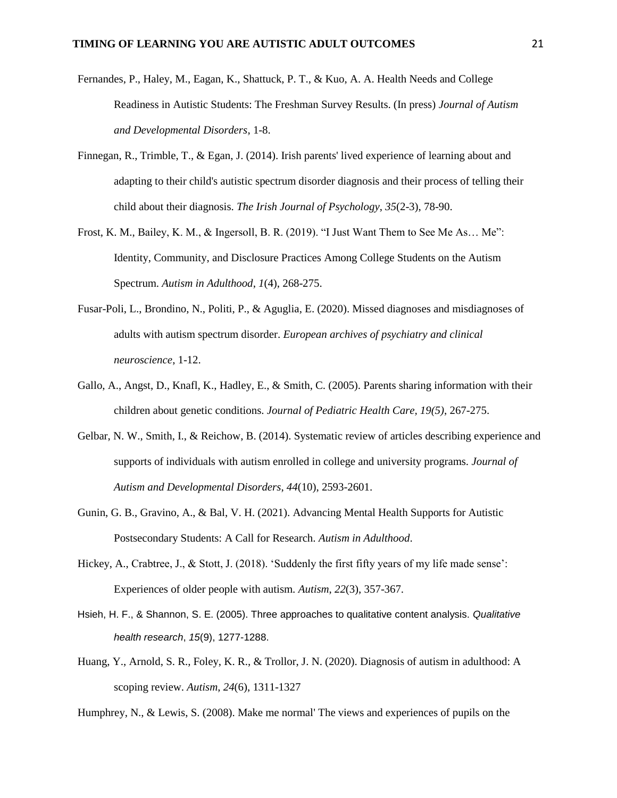- Fernandes, P., Haley, M., Eagan, K., Shattuck, P. T., & Kuo, A. A. Health Needs and College Readiness in Autistic Students: The Freshman Survey Results. (In press) *Journal of Autism and Developmental Disorders*, 1-8.
- Finnegan, R., Trimble, T., & Egan, J. (2014). Irish parents' lived experience of learning about and adapting to their child's autistic spectrum disorder diagnosis and their process of telling their child about their diagnosis. *The Irish Journal of Psychology*, *35*(2-3), 78-90.
- Frost, K. M., Bailey, K. M., & Ingersoll, B. R. (2019). "I Just Want Them to See Me As… Me": Identity, Community, and Disclosure Practices Among College Students on the Autism Spectrum. *Autism in Adulthood*, *1*(4), 268-275.
- Fusar-Poli, L., Brondino, N., Politi, P., & Aguglia, E. (2020). Missed diagnoses and misdiagnoses of adults with autism spectrum disorder. *European archives of psychiatry and clinical neuroscience*, 1-12.
- Gallo, A., Angst, D., Knafl, K., Hadley, E., & Smith, C. (2005). Parents sharing information with their children about genetic conditions. *Journal of Pediatric Health Care, 19(5)*, 267-275.
- Gelbar, N. W., Smith, I., & Reichow, B. (2014). Systematic review of articles describing experience and supports of individuals with autism enrolled in college and university programs. *Journal of Autism and Developmental Disorders*, *44*(10), 2593-2601.
- Gunin, G. B., Gravino, A., & Bal, V. H. (2021). Advancing Mental Health Supports for Autistic Postsecondary Students: A Call for Research. *Autism in Adulthood*.
- Hickey, A., Crabtree, J., & Stott, J. (2018). 'Suddenly the first fifty years of my life made sense': Experiences of older people with autism. *Autism*, *22*(3), 357-367.
- Hsieh, H. F., & Shannon, S. E. (2005). Three approaches to qualitative content analysis. *Qualitative health research*, *15*(9), 1277-1288.
- Huang, Y., Arnold, S. R., Foley, K. R., & Trollor, J. N. (2020). Diagnosis of autism in adulthood: A scoping review. *Autism*, *24*(6), 1311-1327

Humphrey, N., & Lewis, S. (2008). Make me normal' The views and experiences of pupils on the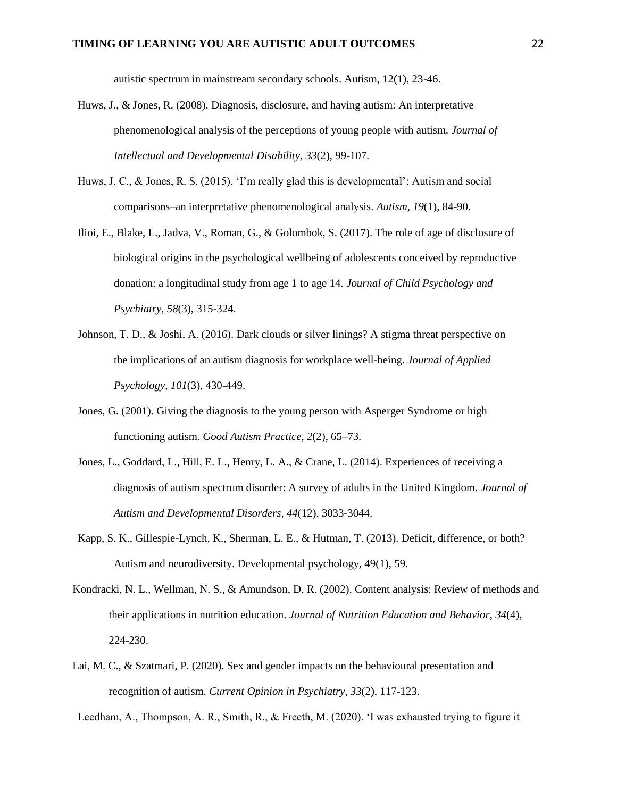autistic spectrum in mainstream secondary schools. Autism, 12(1), 23-46.

- Huws, J., & Jones, R. (2008). Diagnosis, disclosure, and having autism: An interpretative phenomenological analysis of the perceptions of young people with autism. *Journal of Intellectual and Developmental Disability, 33*(2), 99-107.
- Huws, J. C., & Jones, R. S. (2015). 'I'm really glad this is developmental': Autism and social comparisons–an interpretative phenomenological analysis. *Autism*, *19*(1), 84-90.
- Ilioi, E., Blake, L., Jadva, V., Roman, G., & Golombok, S. (2017). The role of age of disclosure of biological origins in the psychological wellbeing of adolescents conceived by reproductive donation: a longitudinal study from age 1 to age 14. *Journal of Child Psychology and Psychiatry*, *58*(3), 315-324.
- Johnson, T. D., & Joshi, A. (2016). Dark clouds or silver linings? A stigma threat perspective on the implications of an autism diagnosis for workplace well-being. *Journal of Applied Psychology*, *101*(3), 430-449.
- Jones, G. (2001). Giving the diagnosis to the young person with Asperger Syndrome or high functioning autism. *Good Autism Practice, 2*(2), 65–73.
- Jones, L., Goddard, L., Hill, E. L., Henry, L. A., & Crane, L. (2014). Experiences of receiving a diagnosis of autism spectrum disorder: A survey of adults in the United Kingdom. *Journal of Autism and Developmental Disorders*, *44*(12), 3033-3044.
- Kapp, S. K., Gillespie-Lynch, K., Sherman, L. E., & Hutman, T. (2013). Deficit, difference, or both? Autism and neurodiversity. Developmental psychology, 49(1), 59.
- Kondracki, N. L., Wellman, N. S., & Amundson, D. R. (2002). Content analysis: Review of methods and their applications in nutrition education. *Journal of Nutrition Education and Behavior*, *34*(4), 224-230.
- Lai, M. C., & Szatmari, P. (2020). Sex and gender impacts on the behavioural presentation and recognition of autism. *Current Opinion in Psychiatry*, *33*(2), 117-123.

Leedham, A., Thompson, A. R., Smith, R., & Freeth, M. (2020). 'I was exhausted trying to figure it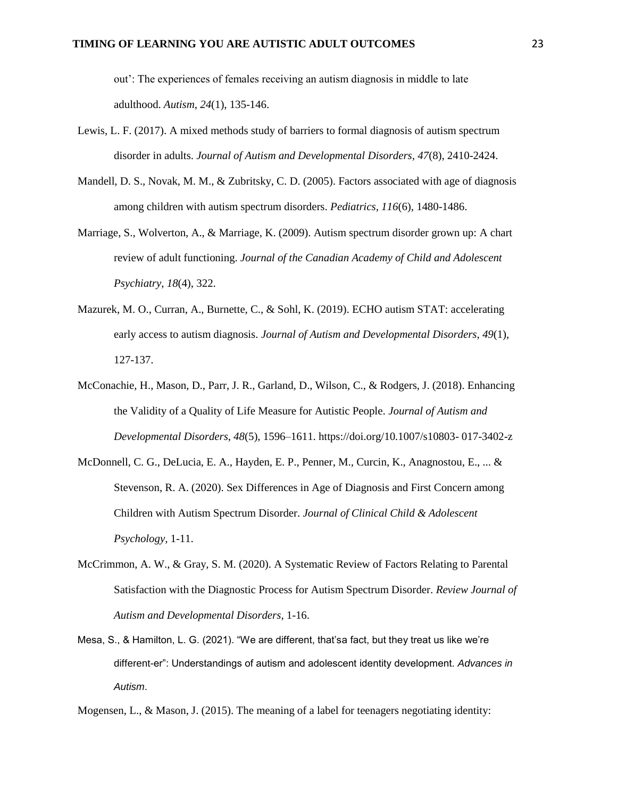out': The experiences of females receiving an autism diagnosis in middle to late adulthood. *Autism*, *24*(1), 135-146.

- Lewis, L. F. (2017). A mixed methods study of barriers to formal diagnosis of autism spectrum disorder in adults. *Journal of Autism and Developmental Disorders, 47*(8), 2410-2424.
- Mandell, D. S., Novak, M. M., & Zubritsky, C. D. (2005). Factors associated with age of diagnosis among children with autism spectrum disorders. *Pediatrics*, *116*(6), 1480-1486.
- Marriage, S., Wolverton, A., & Marriage, K. (2009). Autism spectrum disorder grown up: A chart review of adult functioning. *Journal of the Canadian Academy of Child and Adolescent Psychiatry*, *18*(4), 322.
- Mazurek, M. O., Curran, A., Burnette, C., & Sohl, K. (2019). ECHO autism STAT: accelerating early access to autism diagnosis. *Journal of Autism and Developmental Disorders*, *49*(1), 127-137.
- McConachie, H., Mason, D., Parr, J. R., Garland, D., Wilson, C., & Rodgers, J. (2018). Enhancing the Validity of a Quality of Life Measure for Autistic People. *Journal of Autism and Developmental Disorders*, *48*(5), 1596–1611. https://doi.org/10.1007/s10803- 017-3402-z
- McDonnell, C. G., DeLucia, E. A., Hayden, E. P., Penner, M., Curcin, K., Anagnostou, E., ... & Stevenson, R. A. (2020). Sex Differences in Age of Diagnosis and First Concern among Children with Autism Spectrum Disorder. *Journal of Clinical Child & Adolescent Psychology*, 1-11.
- McCrimmon, A. W., & Gray, S. M. (2020). A Systematic Review of Factors Relating to Parental Satisfaction with the Diagnostic Process for Autism Spectrum Disorder. *Review Journal of Autism and Developmental Disorders*, 1-16.
- Mesa, S., & Hamilton, L. G. (2021). "We are different, that'sa fact, but they treat us like we're different-er": Understandings of autism and adolescent identity development. *Advances in Autism*.

Mogensen, L., & Mason, J. (2015). The meaning of a label for teenagers negotiating identity: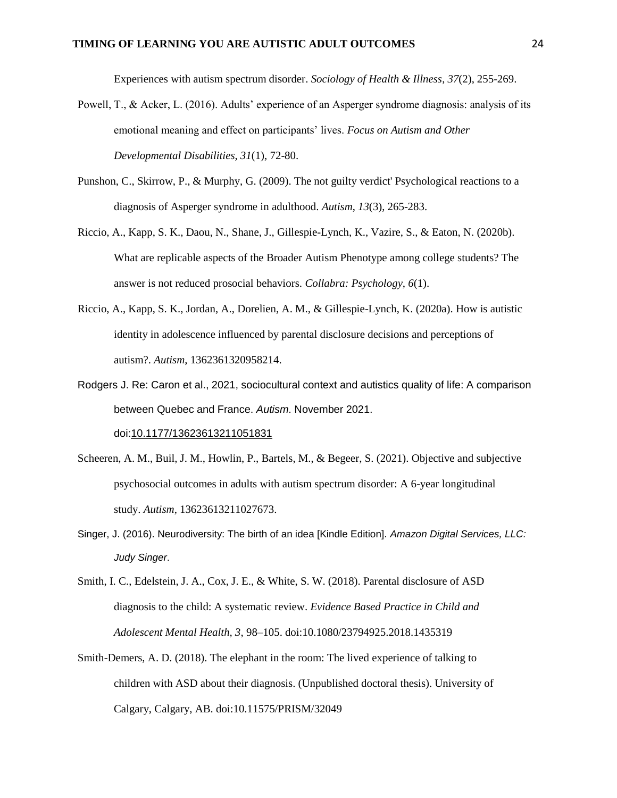Experiences with autism spectrum disorder. *Sociology of Health & Illness*, *37*(2), 255-269.

- Powell, T., & Acker, L. (2016). Adults' experience of an Asperger syndrome diagnosis: analysis of its emotional meaning and effect on participants' lives. *Focus on Autism and Other Developmental Disabilities*, *31*(1), 72-80.
- Punshon, C., Skirrow, P., & Murphy, G. (2009). The not guilty verdict' Psychological reactions to a diagnosis of Asperger syndrome in adulthood. *Autism*, *13*(3), 265-283.
- Riccio, A., Kapp, S. K., Daou, N., Shane, J., Gillespie-Lynch, K., Vazire, S., & Eaton, N. (2020b). What are replicable aspects of the Broader Autism Phenotype among college students? The answer is not reduced prosocial behaviors. *Collabra: Psychology*, *6*(1).
- Riccio, A., Kapp, S. K., Jordan, A., Dorelien, A. M., & Gillespie-Lynch, K. (2020a). How is autistic identity in adolescence influenced by parental disclosure decisions and perceptions of autism?. *Autism*, 1362361320958214.
- Rodgers J. Re: Caron et al., 2021, sociocultural context and autistics quality of life: A comparison between Quebec and France. *Autism*. November 2021.

doi[:10.1177/13623613211051831](https://doi.org/10.1177/13623613211051831)

- Scheeren, A. M., Buil, J. M., Howlin, P., Bartels, M., & Begeer, S. (2021). Objective and subjective psychosocial outcomes in adults with autism spectrum disorder: A 6-year longitudinal study. *Autism*, 13623613211027673.
- Singer, J. (2016). Neurodiversity: The birth of an idea [Kindle Edition]. *Amazon Digital Services, LLC: Judy Singer*.
- Smith, I. C., Edelstein, J. A., Cox, J. E., & White, S. W. (2018). Parental disclosure of ASD diagnosis to the child: A systematic review. *Evidence Based Practice in Child and Adolescent Mental Health, 3*, 98–105. doi:10.1080/23794925.2018.1435319
- Smith-Demers, A. D. (2018). The elephant in the room: The lived experience of talking to children with ASD about their diagnosis. (Unpublished doctoral thesis). University of Calgary, Calgary, AB. doi:10.11575/PRISM/32049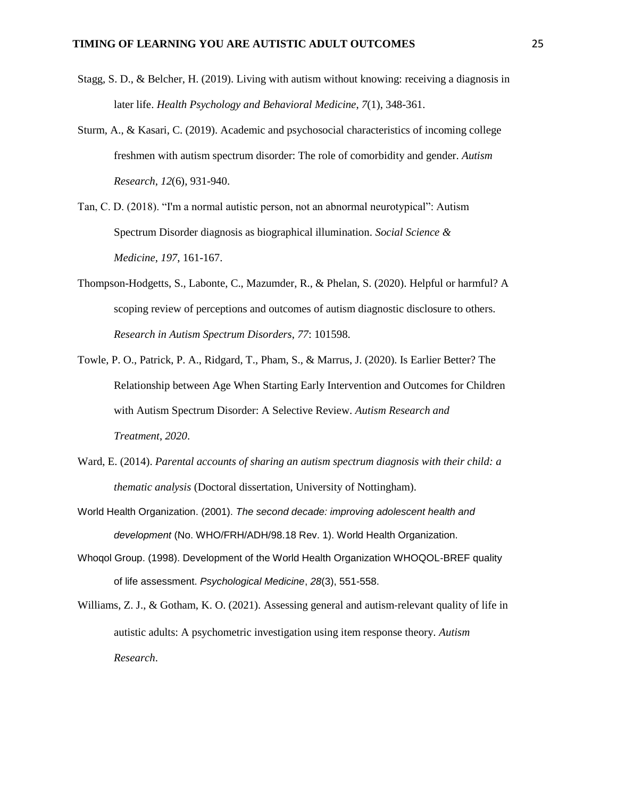- Stagg, S. D., & Belcher, H. (2019). Living with autism without knowing: receiving a diagnosis in later life. *Health Psychology and Behavioral Medicine*, *7*(1), 348-361.
- Sturm, A., & Kasari, C. (2019). Academic and psychosocial characteristics of incoming college freshmen with autism spectrum disorder: The role of comorbidity and gender. *Autism Research*, *12*(6), 931-940.
- Tan, C. D. (2018). "I'm a normal autistic person, not an abnormal neurotypical": Autism Spectrum Disorder diagnosis as biographical illumination. *Social Science & Medicine*, *197*, 161-167.
- Thompson-Hodgetts, S., Labonte, C., Mazumder, R., & Phelan, S. (2020). Helpful or harmful? A scoping review of perceptions and outcomes of autism diagnostic disclosure to others. *Research in Autism Spectrum Disorders*, *77*: 101598.
- Towle, P. O., Patrick, P. A., Ridgard, T., Pham, S., & Marrus, J. (2020). Is Earlier Better? The Relationship between Age When Starting Early Intervention and Outcomes for Children with Autism Spectrum Disorder: A Selective Review. *Autism Research and Treatment*, *2020*.
- Ward, E. (2014). *Parental accounts of sharing an autism spectrum diagnosis with their child: a thematic analysis* (Doctoral dissertation, University of Nottingham).
- World Health Organization. (2001). *The second decade: improving adolescent health and development* (No. WHO/FRH/ADH/98.18 Rev. 1). World Health Organization.
- Whoqol Group. (1998). Development of the World Health Organization WHOQOL-BREF quality of life assessment. *Psychological Medicine*, *28*(3), 551-558.
- Williams, Z. J., & Gotham, K. O. (2021). Assessing general and autism-relevant quality of life in autistic adults: A psychometric investigation using item response theory. *Autism Research*.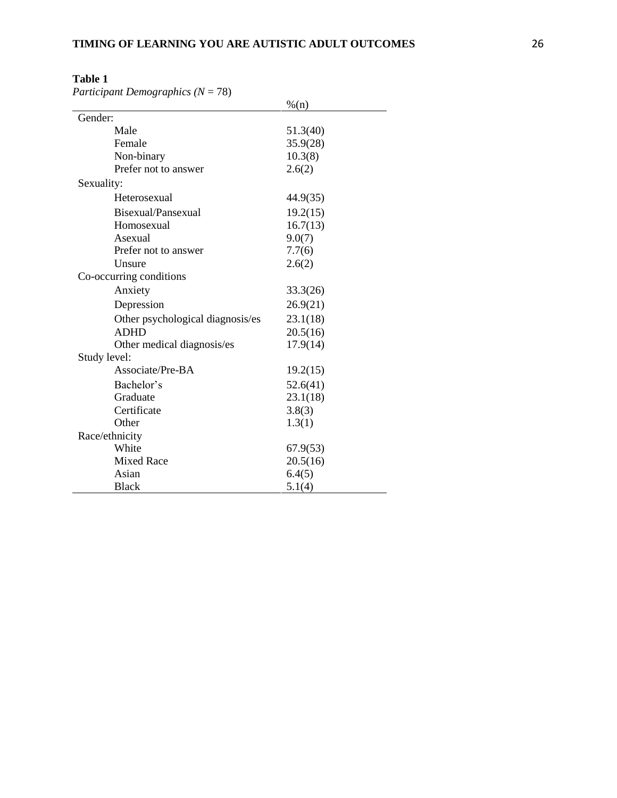*Participant Demographics* ( $N = 78$ )

|                                  | % (n)    |
|----------------------------------|----------|
| Gender:                          |          |
| Male                             | 51.3(40) |
| Female                           | 35.9(28) |
| Non-binary                       | 10.3(8)  |
| Prefer not to answer             | 2.6(2)   |
| Sexuality:                       |          |
| Heterosexual                     | 44.9(35) |
| Bisexual/Pansexual               | 19.2(15) |
| Homosexual                       | 16.7(13) |
| Asexual                          | 9.0(7)   |
| Prefer not to answer             | 7.7(6)   |
| Unsure                           | 2.6(2)   |
| Co-occurring conditions          |          |
| Anxiety                          | 33.3(26) |
| Depression                       | 26.9(21) |
| Other psychological diagnosis/es | 23.1(18) |
| <b>ADHD</b>                      | 20.5(16) |
| Other medical diagnosis/es       | 17.9(14) |
| Study level:                     |          |
| Associate/Pre-BA                 | 19.2(15) |
| Bachelor's                       | 52.6(41) |
| Graduate                         | 23.1(18) |
| Certificate                      | 3.8(3)   |
| Other                            | 1.3(1)   |
| Race/ethnicity                   |          |
| White                            | 67.9(53) |
| <b>Mixed Race</b>                | 20.5(16) |
| Asian                            | 6.4(5)   |
| <b>Black</b>                     | 5.1(4)   |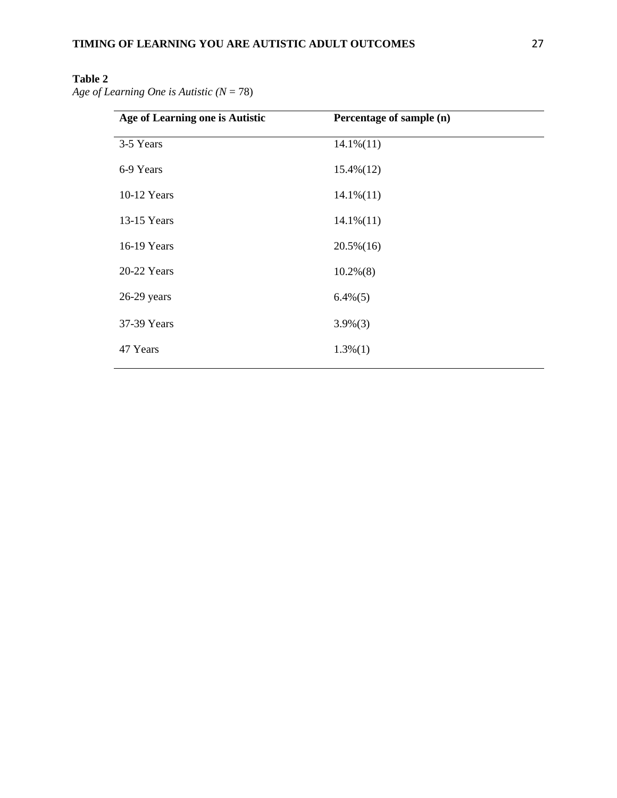*Age of Learning One is Autistic (N* = 78)

| Age of Learning one is Autistic | Percentage of sample (n) |
|---------------------------------|--------------------------|
| 3-5 Years                       | $14.1\%(11)$             |
| 6-9 Years                       | $15.4\%(12)$             |
| 10-12 Years                     | $14.1\%(11)$             |
| 13-15 Years                     | $14.1\%(11)$             |
| 16-19 Years                     | $20.5\%(16)$             |
| 20-22 Years                     | $10.2\%(8)$              |
| $26-29$ years                   | $6.4\%(5)$               |
| 37-39 Years                     | $3.9\%(3)$               |
| 47 Years                        | $1.3\%(1)$               |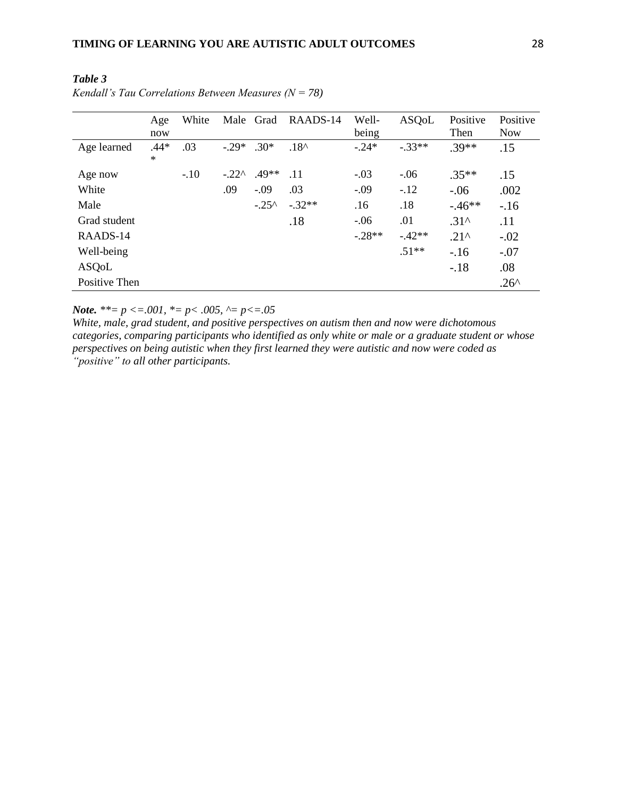|               | Age<br>now       | White  | Male    | Grad            | RAADS-14       | Well-<br>being | <b>ASQoL</b> | Positive<br>Then | Positive<br><b>Now</b> |
|---------------|------------------|--------|---------|-----------------|----------------|----------------|--------------|------------------|------------------------|
| Age learned   | $.44*$<br>$\ast$ | .03    | $-29*$  | $.30*$          | $.18^{\wedge}$ | $-.24*$        | $-.33**$     | $.39**$          | .15                    |
| Age now       |                  | $-.10$ | $-.22^$ | .49**           | .11            | $-.03$         | $-.06$       | $.35**$          | .15                    |
| White         |                  |        | .09     | $-.09$          | .03            | $-.09$         | $-.12$       | $-.06$           | .002                   |
| Male          |                  |        |         | $-.25^{\wedge}$ | $-.32**$       | .16            | .18          | $-46**$          | $-.16$                 |
| Grad student  |                  |        |         |                 | .18            | $-.06$         | .01          | $.31^$           | .11                    |
| RAADS-14      |                  |        |         |                 |                | $-28**$        | $-42**$      | $.21^$           | $-.02$                 |
| Well-being    |                  |        |         |                 |                |                | $.51**$      | $-.16$           | $-.07$                 |
| ASQoL         |                  |        |         |                 |                |                |              | $-.18$           | .08                    |
| Positive Then |                  |        |         |                 |                |                |              |                  | $.26^$                 |

*Table 3 Kendall's Tau Correlations Between Measures (N = 78)*

*Note.*  $**= p \le 0.001$ ,  $*= p \le 0.005$ ,  $\sim = p \le 0.05$ 

*White, male, grad student, and positive perspectives on autism then and now were dichotomous categories, comparing participants who identified as only white or male or a graduate student or whose perspectives on being autistic when they first learned they were autistic and now were coded as "positive" to all other participants.*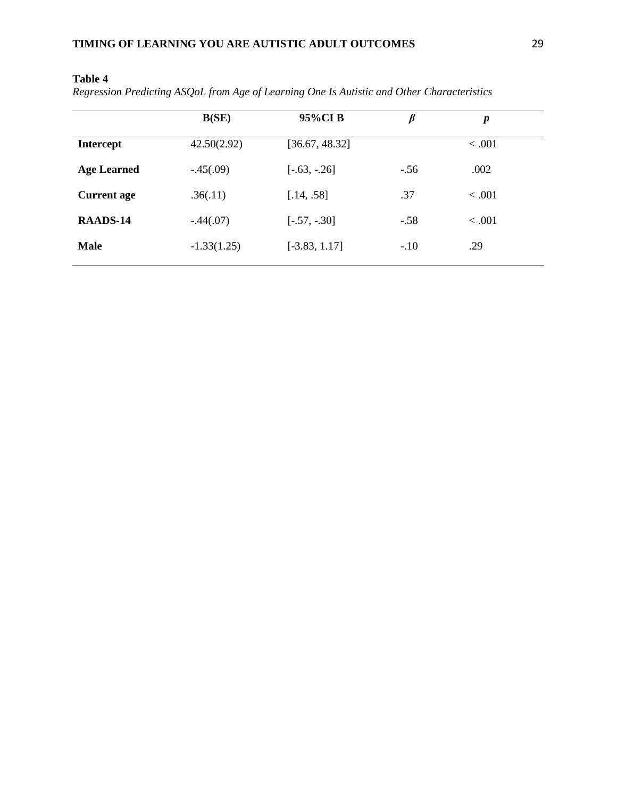|                    | B(SE)         | 95%CIB          | $\beta$ | $\boldsymbol{p}$ |  |
|--------------------|---------------|-----------------|---------|------------------|--|
| <b>Intercept</b>   | 42.50(2.92)   | [36.67, 48.32]  |         | < .001           |  |
| <b>Age Learned</b> | $-.45(.09)$   | $[-.63, -.26]$  | $-.56$  | .002             |  |
| <b>Current age</b> | .36(.11)      | [.14, .58]      | .37     | < .001           |  |
| RAADS-14           | $-.44(.07)$   | $[-.57, -0.30]$ | $-.58$  | < .001           |  |
| <b>Male</b>        | $-1.33(1.25)$ | $[-3.83, 1.17]$ | $-.10$  | .29              |  |

*Regression Predicting ASQoL from Age of Learning One Is Autistic and Other Characteristics*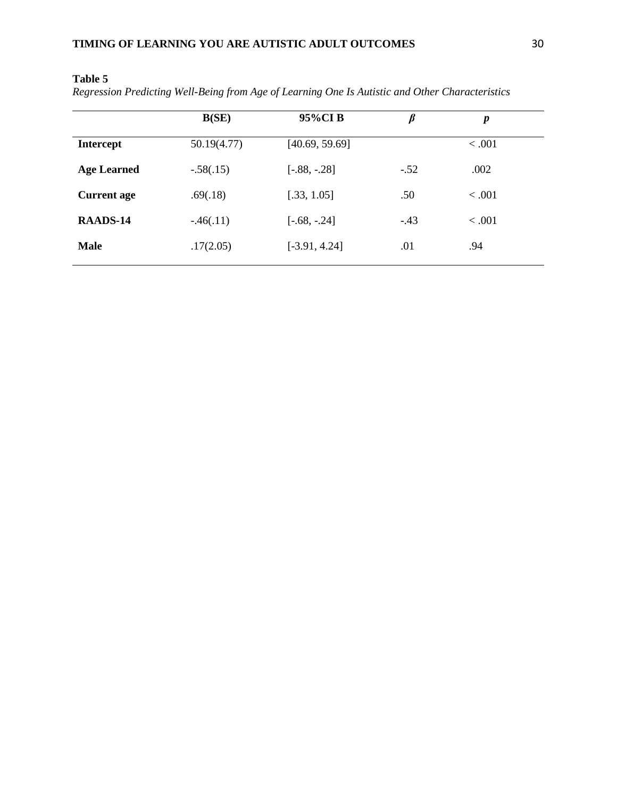*Regression Predicting Well-Being from Age of Learning One Is Autistic and Other Characteristics* 

|                    | B(SE)       | 95%CIB          | $\beta$ | $\boldsymbol{p}$ |  |
|--------------------|-------------|-----------------|---------|------------------|--|
| <b>Intercept</b>   | 50.19(4.77) | [40.69, 59.69]  |         | < .001           |  |
| <b>Age Learned</b> | $-.58(.15)$ | $[-.88, -.28]$  | $-.52$  | .002             |  |
| <b>Current age</b> | .69(.18)    | [.33, 1.05]     | .50     | < .001           |  |
| RAADS-14           | $-.46(.11)$ | $[-.68, -0.24]$ | $-.43$  | < .001           |  |
| <b>Male</b>        | .17(2.05)   | $[-3.91, 4.24]$ | .01     | .94              |  |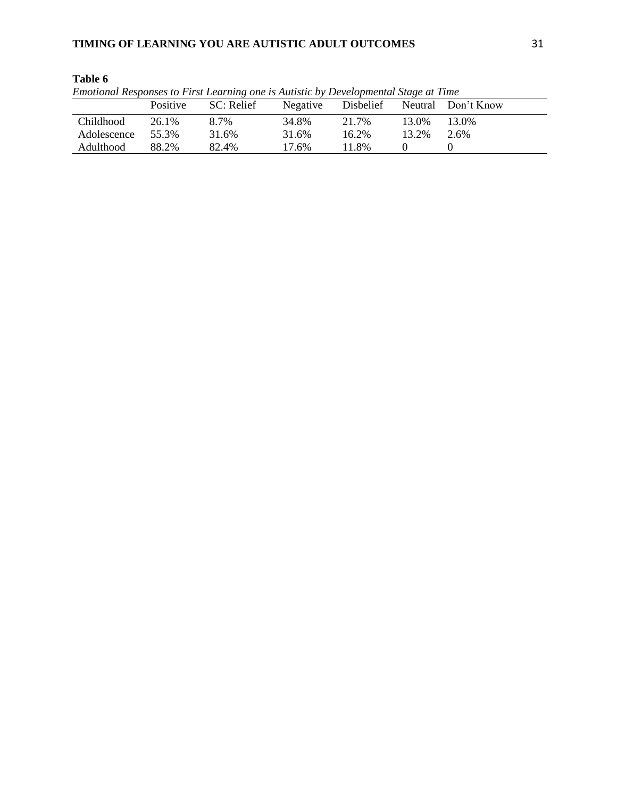| Emotional Responses to First Learning one is Autistic by Developmental Stage at Time |                 |            |       |       |       |                                       |
|--------------------------------------------------------------------------------------|-----------------|------------|-------|-------|-------|---------------------------------------|
|                                                                                      | <b>Positive</b> | SC: Relief |       |       |       | Negative Disbelief Neutral Don't Know |
| Childhood                                                                            | 26.1%           | 8.7%       | 34.8% | 21.7% | 13.0% | 13.0%                                 |
| Adolescence                                                                          | 55.3%           | 31.6%      | 31.6% | 16.2% | 13.2% | 2.6%                                  |
| Adulthood                                                                            | 88.2%           | 82.4%      | 17.6% | 11.8% |       |                                       |

| Emotional Responses to First Learning one is Autistic by Developmental Stage at Time |  |  |  |  |
|--------------------------------------------------------------------------------------|--|--|--|--|
|                                                                                      |  |  |  |  |
|                                                                                      |  |  |  |  |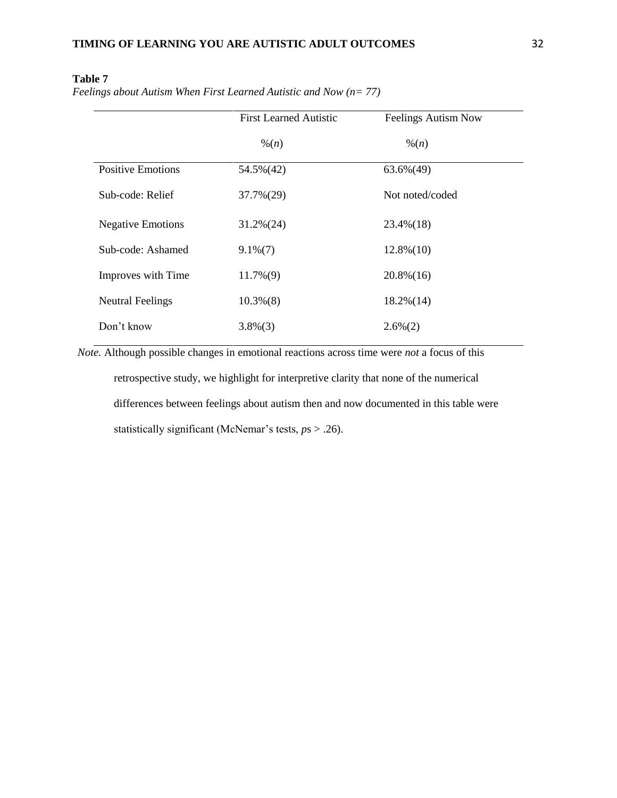|                          | <b>First Learned Autistic</b> | <b>Feelings Autism Now</b> |
|--------------------------|-------------------------------|----------------------------|
|                          | $\frac{9}{6}(n)$              | $\frac{9}{6}(n)$           |
| <b>Positive Emotions</b> | 54.5%(42)                     | $63.6\%(49)$               |
| Sub-code: Relief         | 37.7%(29)                     | Not noted/coded            |
| <b>Negative Emotions</b> | $31.2\%(24)$                  | $23.4\%(18)$               |
| Sub-code: Ashamed        | $9.1\%(7)$                    | $12.8\%(10)$               |
| Improves with Time       | $11.7\%(9)$                   | $20.8\%(16)$               |
| <b>Neutral Feelings</b>  | $10.3\%(8)$                   | $18.2\%(14)$               |
| Don't know               | $3.8\%(3)$                    | $2.6\%(2)$                 |

*Feelings about Autism When First Learned Autistic and Now (n= 77)* 

*Note.* Although possible changes in emotional reactions across time were *not* a focus of this retrospective study, we highlight for interpretive clarity that none of the numerical differences between feelings about autism then and now documented in this table were statistically significant (McNemar's tests, *p*s > .26).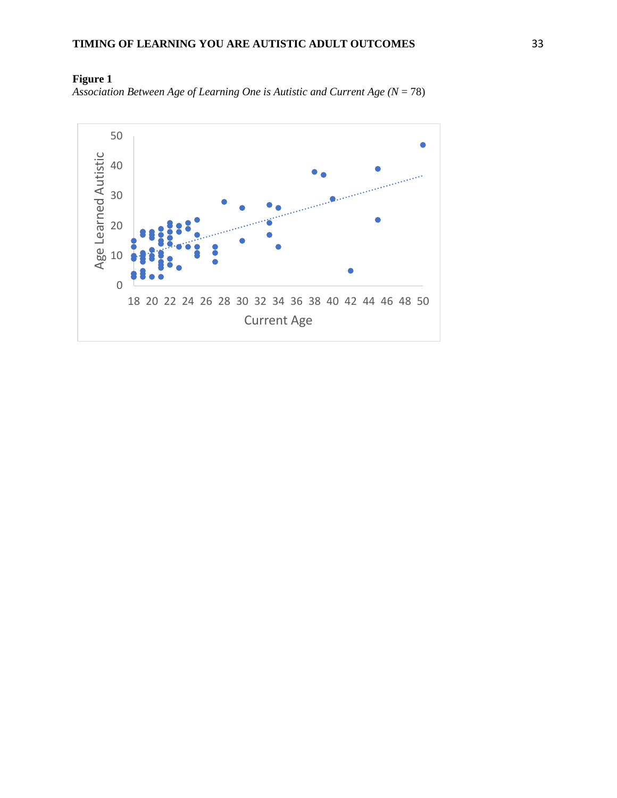

**Figure 1** *Association Between Age of Learning One is Autistic and Current Age (* $N = 78$ *)*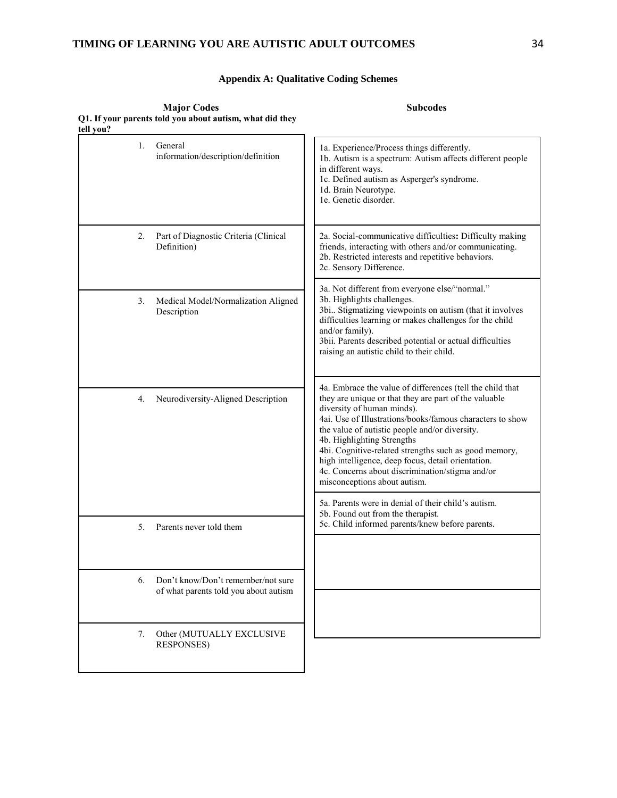## **TIMING OF LEARNING YOU ARE AUTISTIC ADULT OUTCOMES** 34

## **Appendix A: Qualitative Coding Schemes**

| Q1. If your parents told you about autism, what did they<br>tell you?             |                                                                                                                                                                                                                                                                                                                                                                                                                                                                                                 |
|-----------------------------------------------------------------------------------|-------------------------------------------------------------------------------------------------------------------------------------------------------------------------------------------------------------------------------------------------------------------------------------------------------------------------------------------------------------------------------------------------------------------------------------------------------------------------------------------------|
| General<br>1.<br>information/description/definition                               | 1a. Experience/Process things differently.<br>1b. Autism is a spectrum: Autism affects different people<br>in different ways.<br>1c. Defined autism as Asperger's syndrome.<br>1d. Brain Neurotype.<br>1e. Genetic disorder.                                                                                                                                                                                                                                                                    |
| Part of Diagnostic Criteria (Clinical<br>2.<br>Definition)                        | 2a. Social-communicative difficulties: Difficulty making<br>friends, interacting with others and/or communicating.<br>2b. Restricted interests and repetitive behaviors.<br>2c. Sensory Difference.                                                                                                                                                                                                                                                                                             |
| 3.<br>Medical Model/Normalization Aligned<br>Description                          | 3a. Not different from everyone else/"normal."<br>3b. Highlights challenges.<br>3bi Stigmatizing viewpoints on autism (that it involves<br>difficulties learning or makes challenges for the child<br>and/or family).<br>3bii. Parents described potential or actual difficulties<br>raising an autistic child to their child.                                                                                                                                                                  |
| 4.<br>Neurodiversity-Aligned Description                                          | 4a. Embrace the value of differences (tell the child that<br>they are unique or that they are part of the valuable<br>diversity of human minds).<br>4ai. Use of Illustrations/books/famous characters to show<br>the value of autistic people and/or diversity.<br>4b. Highlighting Strengths<br>4bi. Cognitive-related strengths such as good memory,<br>high intelligence, deep focus, detail orientation.<br>4c. Concerns about discrimination/stigma and/or<br>misconceptions about autism. |
| 5.<br>Parents never told them                                                     | 5a. Parents were in denial of their child's autism.<br>5b. Found out from the therapist.<br>5c. Child informed parents/knew before parents.                                                                                                                                                                                                                                                                                                                                                     |
|                                                                                   |                                                                                                                                                                                                                                                                                                                                                                                                                                                                                                 |
| Don't know/Don't remember/not sure<br>6.<br>of what parents told you about autism |                                                                                                                                                                                                                                                                                                                                                                                                                                                                                                 |
| Other (MUTUALLY EXCLUSIVE<br>7.                                                   |                                                                                                                                                                                                                                                                                                                                                                                                                                                                                                 |
| <b>RESPONSES)</b>                                                                 |                                                                                                                                                                                                                                                                                                                                                                                                                                                                                                 |

**Major Codes Q1. If your parents told you about autism, what did they**  **Subcodes**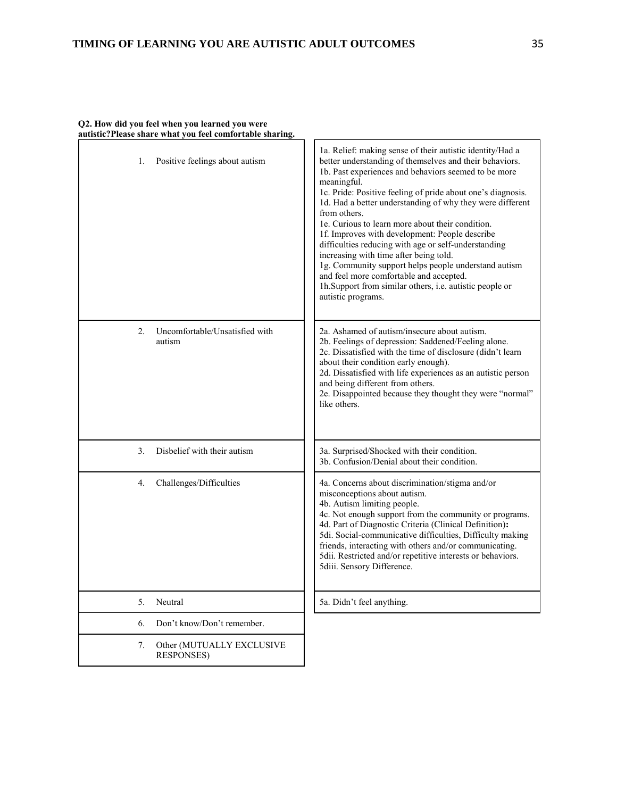| Positive feelings about autism<br>1.                  | 1a. Relief: making sense of their autistic identity/Had a<br>better understanding of themselves and their behaviors.<br>1b. Past experiences and behaviors seemed to be more<br>meaningful.<br>1c. Pride: Positive feeling of pride about one's diagnosis.<br>1d. Had a better understanding of why they were different<br>from others.<br>1e. Curious to learn more about their condition.<br>1f. Improves with development: People describe<br>difficulties reducing with age or self-understanding<br>increasing with time after being told.<br>1g. Community support helps people understand autism<br>and feel more comfortable and accepted.<br>1h.Support from similar others, i.e. autistic people or<br>autistic programs. |
|-------------------------------------------------------|-------------------------------------------------------------------------------------------------------------------------------------------------------------------------------------------------------------------------------------------------------------------------------------------------------------------------------------------------------------------------------------------------------------------------------------------------------------------------------------------------------------------------------------------------------------------------------------------------------------------------------------------------------------------------------------------------------------------------------------|
| Uncomfortable/Unsatisfied with<br>2.<br>autism        | 2a. Ashamed of autism/insecure about autism.<br>2b. Feelings of depression: Saddened/Feeling alone.<br>2c. Dissatisfied with the time of disclosure (didn't learn<br>about their condition early enough).<br>2d. Dissatisfied with life experiences as an autistic person<br>and being different from others.<br>2e. Disappointed because they thought they were "normal"<br>like others.                                                                                                                                                                                                                                                                                                                                           |
| Disbelief with their autism<br>3.                     | 3a. Surprised/Shocked with their condition.<br>3b. Confusion/Denial about their condition.                                                                                                                                                                                                                                                                                                                                                                                                                                                                                                                                                                                                                                          |
| 4.<br>Challenges/Difficulties                         | 4a. Concerns about discrimination/stigma and/or<br>misconceptions about autism.<br>4b. Autism limiting people.<br>4c. Not enough support from the community or programs.<br>4d. Part of Diagnostic Criteria (Clinical Definition):<br>5di. Social-communicative difficulties, Difficulty making<br>friends, interacting with others and/or communicating.<br>5dii. Restricted and/or repetitive interests or behaviors.<br>5diii. Sensory Difference.                                                                                                                                                                                                                                                                               |
| 5 <sub>1</sub><br>Neutral                             | 5a. Didn't feel anything.                                                                                                                                                                                                                                                                                                                                                                                                                                                                                                                                                                                                                                                                                                           |
| Don't know/Don't remember.<br>6.                      |                                                                                                                                                                                                                                                                                                                                                                                                                                                                                                                                                                                                                                                                                                                                     |
| 7.<br>Other (MUTUALLY EXCLUSIVE<br><b>RESPONSES</b> ) |                                                                                                                                                                                                                                                                                                                                                                                                                                                                                                                                                                                                                                                                                                                                     |

## **Q2. How did you feel when you learned you were autistic?Please share what you feel comfortable sharing.**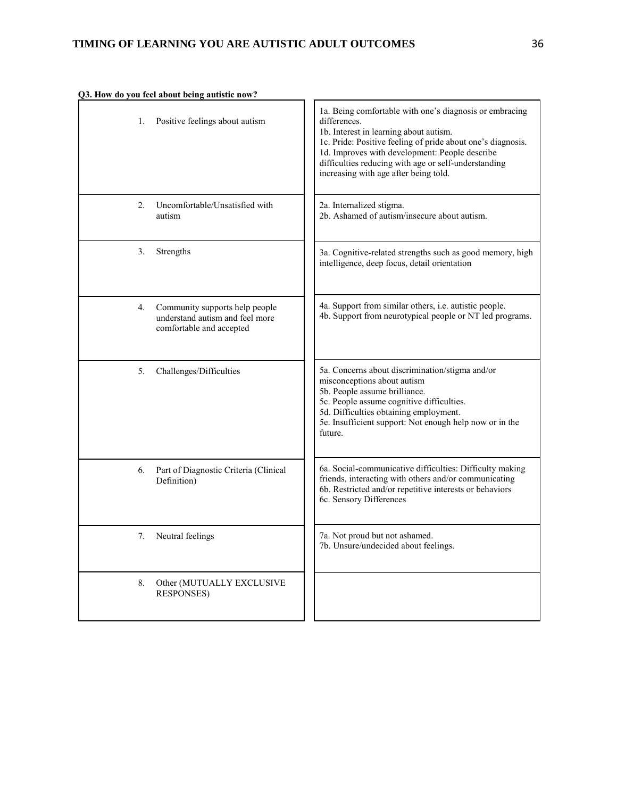|  |  |  |  |  | Q3. How do you feel about being autistic now? |  |
|--|--|--|--|--|-----------------------------------------------|--|
|--|--|--|--|--|-----------------------------------------------|--|

| 1. | Positive feelings about autism                                                                | 1a. Being comfortable with one's diagnosis or embracing<br>differences.<br>1b. Interest in learning about autism.<br>1c. Pride: Positive feeling of pride about one's diagnosis.<br>1d. Improves with development: People describe<br>difficulties reducing with age or self-understanding<br>increasing with age after being told. |
|----|-----------------------------------------------------------------------------------------------|-------------------------------------------------------------------------------------------------------------------------------------------------------------------------------------------------------------------------------------------------------------------------------------------------------------------------------------|
| 2. | Uncomfortable/Unsatisfied with<br>autism                                                      | 2a. Internalized stigma.<br>2b. Ashamed of autism/insecure about autism.                                                                                                                                                                                                                                                            |
| 3. | Strengths                                                                                     | 3a. Cognitive-related strengths such as good memory, high<br>intelligence, deep focus, detail orientation                                                                                                                                                                                                                           |
| 4. | Community supports help people<br>understand autism and feel more<br>comfortable and accepted | 4a. Support from similar others, i.e. autistic people.<br>4b. Support from neurotypical people or NT led programs.                                                                                                                                                                                                                  |
| 5. | Challenges/Difficulties                                                                       | 5a. Concerns about discrimination/stigma and/or<br>misconceptions about autism<br>5b. People assume brilliance.<br>5c. People assume cognitive difficulties.<br>5d. Difficulties obtaining employment.<br>5e. Insufficient support: Not enough help now or in the<br>future.                                                        |
| 6. | Part of Diagnostic Criteria (Clinical<br>Definition)                                          | 6a. Social-communicative difficulties: Difficulty making<br>friends, interacting with others and/or communicating<br>6b. Restricted and/or repetitive interests or behaviors<br>6c. Sensory Differences                                                                                                                             |
| 7. | Neutral feelings                                                                              | 7a. Not proud but not ashamed.<br>7b. Unsure/undecided about feelings.                                                                                                                                                                                                                                                              |
| 8. | Other (MUTUALLY EXCLUSIVE<br><b>RESPONSES)</b>                                                |                                                                                                                                                                                                                                                                                                                                     |

5. 6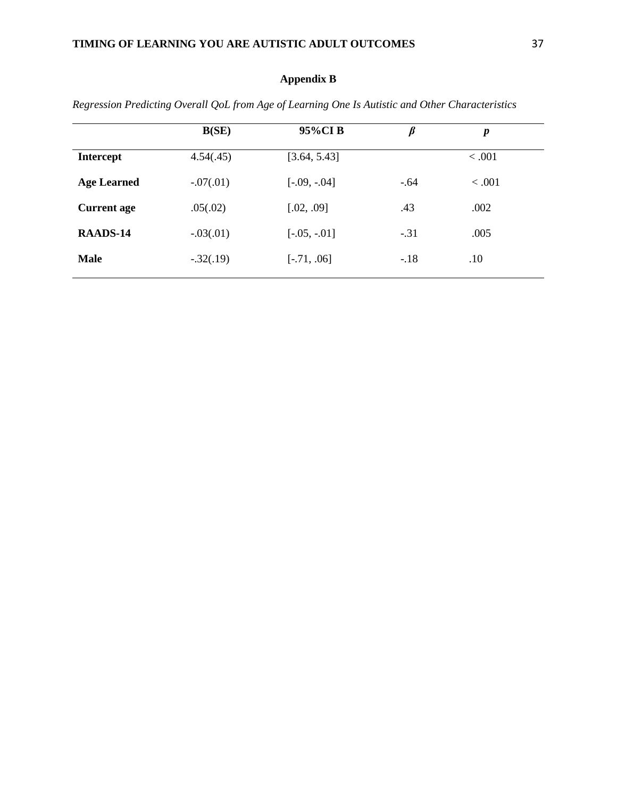# **Appendix B**

|                    | B(SE)       | 95%CIB         | $\beta$ | p       |
|--------------------|-------------|----------------|---------|---------|
| <b>Intercept</b>   | 4.54(.45)   | [3.64, 5.43]   |         | < .001  |
| <b>Age Learned</b> | $-.07(.01)$ | $[-.09, -.04]$ | $-.64$  | < 0.001 |
| <b>Current age</b> | .05(.02)    | [.02, .09]     | .43     | .002    |
| RAADS-14           | $-.03(.01)$ | $[-.05, -.01]$ | $-.31$  | .005    |
| <b>Male</b>        | $-.32(.19)$ | $[-.71, .06]$  | $-.18$  | .10     |
|                    |             |                |         |         |

*Regression Predicting Overall QoL from Age of Learning One Is Autistic and Other Characteristics*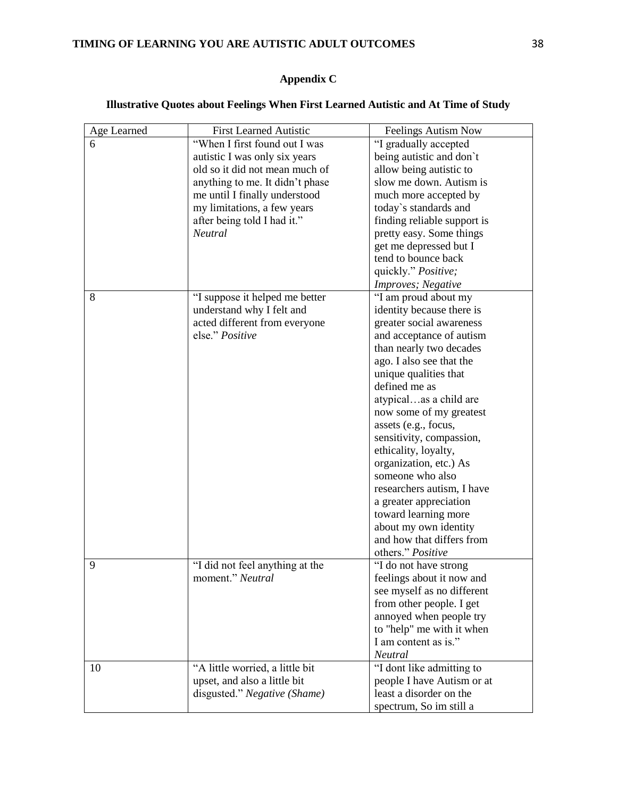# **TIMING OF LEARNING YOU ARE AUTISTIC ADULT OUTCOMES** 38

# **Appendix C**

# **Illustrative Quotes about Feelings When First Learned Autistic and At Time of Study**

| Age Learned | <b>First Learned Autistic</b>   | Feelings Autism Now                           |
|-------------|---------------------------------|-----------------------------------------------|
| 6           | "When I first found out I was   | "I gradually accepted                         |
|             | autistic I was only six years   | being autistic and don't                      |
|             | old so it did not mean much of  | allow being autistic to                       |
|             | anything to me. It didn't phase | slow me down. Autism is                       |
|             | me until I finally understood   | much more accepted by                         |
|             | my limitations, a few years     | today's standards and                         |
|             | after being told I had it."     | finding reliable support is                   |
|             | <b>Neutral</b>                  | pretty easy. Some things                      |
|             |                                 |                                               |
|             |                                 | get me depressed but I<br>tend to bounce back |
|             |                                 |                                               |
|             |                                 | quickly." Positive;                           |
|             |                                 | Improves; Negative                            |
| 8           | "I suppose it helped me better  | "I am proud about my                          |
|             | understand why I felt and       | identity because there is                     |
|             | acted different from everyone   | greater social awareness                      |
|             | else." Positive                 | and acceptance of autism                      |
|             |                                 | than nearly two decades                       |
|             |                                 | ago. I also see that the                      |
|             |                                 | unique qualities that                         |
|             |                                 | defined me as                                 |
|             |                                 | atypicalas a child are                        |
|             |                                 | now some of my greatest                       |
|             |                                 | assets (e.g., focus,                          |
|             |                                 | sensitivity, compassion,                      |
|             |                                 | ethicality, loyalty,                          |
|             |                                 | organization, etc.) As                        |
|             |                                 | someone who also                              |
|             |                                 | researchers autism, I have                    |
|             |                                 | a greater appreciation                        |
|             |                                 | toward learning more                          |
|             |                                 | about my own identity                         |
|             |                                 | and how that differs from                     |
|             |                                 | others." Positive                             |
| 9           | "I did not feel anything at the | "I do not have strong                         |
|             | moment." Neutral                | feelings about it now and                     |
|             |                                 | see myself as no different                    |
|             |                                 | from other people. I get                      |
|             |                                 | annoyed when people try                       |
|             |                                 | to "help" me with it when                     |
|             |                                 | I am content as is."                          |
|             |                                 | Neutral                                       |
|             |                                 |                                               |
| 10          | "A little worried, a little bit | "I dont like admitting to                     |
|             | upset, and also a little bit    | people I have Autism or at                    |
|             | disgusted." Negative (Shame)    | least a disorder on the                       |
|             |                                 | spectrum, So im still a                       |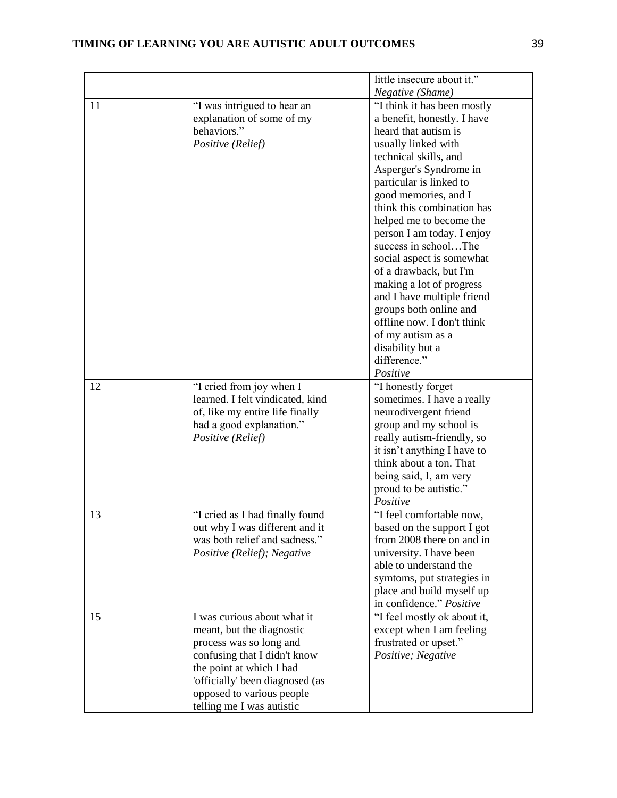|    |                                  | little insecure about it."  |
|----|----------------------------------|-----------------------------|
|    |                                  | Negative (Shame)            |
| 11 | "I was intrigued to hear an      | "I think it has been mostly |
|    | explanation of some of my        | a benefit, honestly. I have |
|    | behaviors."                      | heard that autism is        |
|    | Positive (Relief)                | usually linked with         |
|    |                                  | technical skills, and       |
|    |                                  | Asperger's Syndrome in      |
|    |                                  | particular is linked to     |
|    |                                  | good memories, and I        |
|    |                                  | think this combination has  |
|    |                                  | helped me to become the     |
|    |                                  | person I am today. I enjoy  |
|    |                                  | success in schoolThe        |
|    |                                  | social aspect is somewhat   |
|    |                                  | of a drawback, but I'm      |
|    |                                  | making a lot of progress    |
|    |                                  | and I have multiple friend  |
|    |                                  | groups both online and      |
|    |                                  | offline now. I don't think  |
|    |                                  | of my autism as a           |
|    |                                  | disability but a            |
|    |                                  | difference."                |
|    |                                  | Positive                    |
| 12 | "I cried from joy when I         | "I honestly forget          |
|    | learned. I felt vindicated, kind | sometimes. I have a really  |
|    | of, like my entire life finally  | neurodivergent friend       |
|    | had a good explanation."         | group and my school is      |
|    | Positive (Relief)                | really autism-friendly, so  |
|    |                                  | it isn't anything I have to |
|    |                                  | think about a ton. That     |
|    |                                  | being said, I, am very      |
|    |                                  | proud to be autistic."      |
|    |                                  | Positive                    |
| 13 | "I cried as I had finally found  | "I feel comfortable now,    |
|    | out why I was different and it   | based on the support I got  |
|    | was both relief and sadness."    | from 2008 there on and in   |
|    | Positive (Relief); Negative      | university. I have been     |
|    |                                  | able to understand the      |
|    |                                  | symtoms, put strategies in  |
|    |                                  | place and build myself up   |
|    |                                  | in confidence." Positive    |
| 15 | I was curious about what it      | "I feel mostly ok about it, |
|    | meant, but the diagnostic        | except when I am feeling    |
|    | process was so long and          | frustrated or upset."       |
|    | confusing that I didn't know     | Positive; Negative          |
|    | the point at which I had         |                             |
|    | 'officially' been diagnosed (as  |                             |
|    | opposed to various people        |                             |
|    | telling me I was autistic        |                             |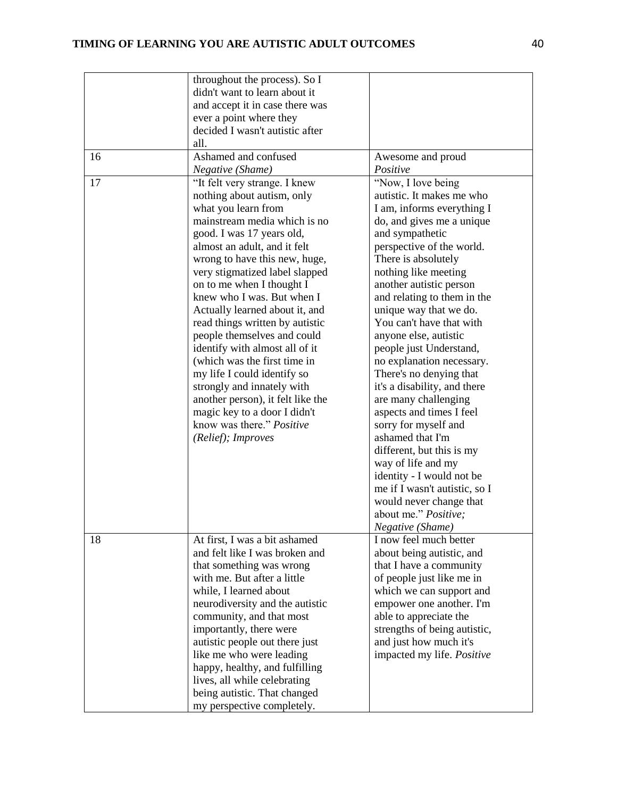|    | throughout the process). So I<br>didn't want to learn about it |                                                       |
|----|----------------------------------------------------------------|-------------------------------------------------------|
|    | and accept it in case there was                                |                                                       |
|    | ever a point where they                                        |                                                       |
|    | decided I wasn't autistic after                                |                                                       |
|    | all.                                                           |                                                       |
| 16 | Ashamed and confused                                           | Awesome and proud<br>Positive                         |
| 17 | Negative (Shame)                                               | "Now, I love being                                    |
|    | "It felt very strange. I knew<br>nothing about autism, only    | autistic. It makes me who                             |
|    | what you learn from                                            | I am, informs everything I                            |
|    | mainstream media which is no                                   | do, and gives me a unique                             |
|    | good. I was 17 years old,                                      | and sympathetic                                       |
|    | almost an adult, and it felt                                   | perspective of the world.                             |
|    | wrong to have this new, huge,                                  | There is absolutely                                   |
|    | very stigmatized label slapped                                 | nothing like meeting                                  |
|    | on to me when I thought I                                      | another autistic person                               |
|    | knew who I was. But when I                                     | and relating to them in the                           |
|    | Actually learned about it, and                                 | unique way that we do.                                |
|    | read things written by autistic                                | You can't have that with                              |
|    | people themselves and could                                    | anyone else, autistic                                 |
|    | identify with almost all of it                                 | people just Understand,                               |
|    | (which was the first time in                                   | no explanation necessary.                             |
|    | my life I could identify so                                    | There's no denying that                               |
|    | strongly and innately with                                     | it's a disability, and there                          |
|    | another person), it felt like the                              | are many challenging                                  |
|    | magic key to a door I didn't                                   | aspects and times I feel                              |
|    | know was there." Positive                                      | sorry for myself and                                  |
|    | (Relief); Improves                                             | ashamed that I'm                                      |
|    |                                                                | different, but this is my                             |
|    |                                                                | way of life and my                                    |
|    |                                                                | identity - I would not be                             |
|    |                                                                | me if I wasn't autistic, so I                         |
|    |                                                                | would never change that                               |
|    |                                                                | about me." Positive:                                  |
|    |                                                                | <i>Negative</i> ( <i>Shame</i> )                      |
| 18 | At first, I was a bit ashamed                                  | I now feel much better                                |
|    | and felt like I was broken and                                 | about being autistic, and                             |
|    | that something was wrong<br>with me. But after a little        | that I have a community                               |
|    | while, I learned about                                         | of people just like me in<br>which we can support and |
|    | neurodiversity and the autistic                                | empower one another. I'm                              |
|    | community, and that most                                       | able to appreciate the                                |
|    | importantly, there were                                        | strengths of being autistic,                          |
|    | autistic people out there just                                 | and just how much it's                                |
|    | like me who were leading                                       | impacted my life. Positive                            |
|    | happy, healthy, and fulfilling                                 |                                                       |
|    | lives, all while celebrating                                   |                                                       |
|    | being autistic. That changed                                   |                                                       |
|    | my perspective completely.                                     |                                                       |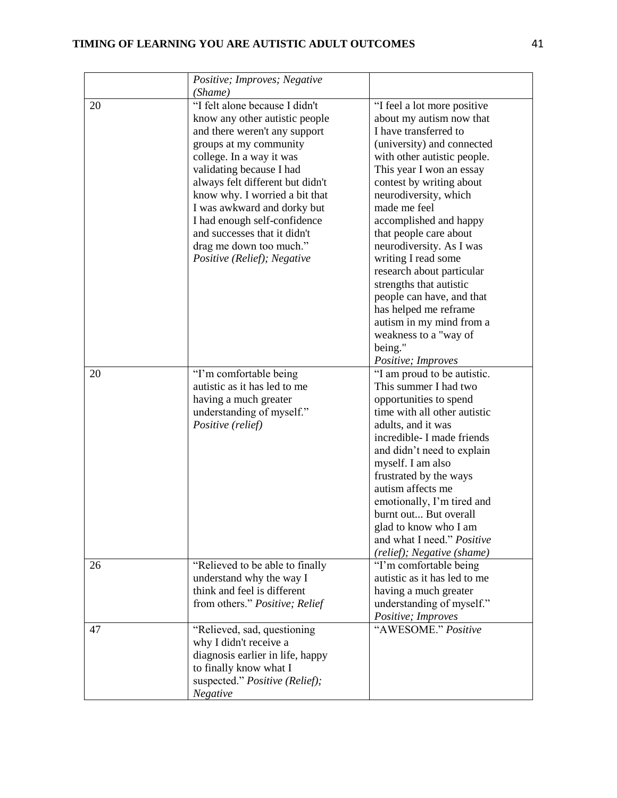|    | Positive; Improves; Negative     |                                             |
|----|----------------------------------|---------------------------------------------|
|    | (Shame)                          |                                             |
| 20 | "I felt alone because I didn't   | "I feel a lot more positive                 |
|    | know any other autistic people   | about my autism now that                    |
|    | and there weren't any support    | I have transferred to                       |
|    | groups at my community           | (university) and connected                  |
|    | college. In a way it was         | with other autistic people.                 |
|    | validating because I had         | This year I won an essay                    |
|    | always felt different but didn't | contest by writing about                    |
|    | know why. I worried a bit that   | neurodiversity, which                       |
|    | I was awkward and dorky but      | made me feel                                |
|    | I had enough self-confidence     | accomplished and happy                      |
|    | and successes that it didn't     | that people care about                      |
|    | drag me down too much."          | neurodiversity. As I was                    |
|    | Positive (Relief); Negative      | writing I read some                         |
|    |                                  | research about particular                   |
|    |                                  | strengths that autistic                     |
|    |                                  | people can have, and that                   |
|    |                                  | has helped me reframe                       |
|    |                                  | autism in my mind from a                    |
|    |                                  | weakness to a "way of                       |
|    |                                  | being."                                     |
|    |                                  | Positive; Improves                          |
| 20 | "I'm comfortable being           | "I am proud to be autistic.                 |
|    | autistic as it has led to me     | This summer I had two                       |
|    | having a much greater            | opportunities to spend                      |
|    | understanding of myself."        | time with all other autistic                |
|    | Positive (relief)                | adults, and it was                          |
|    |                                  | incredible- I made friends                  |
|    |                                  | and didn't need to explain                  |
|    |                                  | myself. I am also<br>frustrated by the ways |
|    |                                  | autism affects me                           |
|    |                                  | emotionally, I'm tired and                  |
|    |                                  | burnt out But overall                       |
|    |                                  | glad to know who I am                       |
|    |                                  | and what I need." Positive                  |
|    |                                  | (relief); Negative (shame)                  |
| 26 | "Relieved to be able to finally  | "I'm comfortable being                      |
|    | understand why the way I         | autistic as it has led to me                |
|    | think and feel is different      | having a much greater                       |
|    | from others." Positive; Relief   | understanding of myself."                   |
|    |                                  | Positive; Improves                          |
| 47 | "Relieved, sad, questioning      | "AWESOME." Positive                         |
|    | why I didn't receive a           |                                             |
|    | diagnosis earlier in life, happy |                                             |
|    | to finally know what I           |                                             |
|    |                                  |                                             |
|    | suspected." Positive (Relief);   |                                             |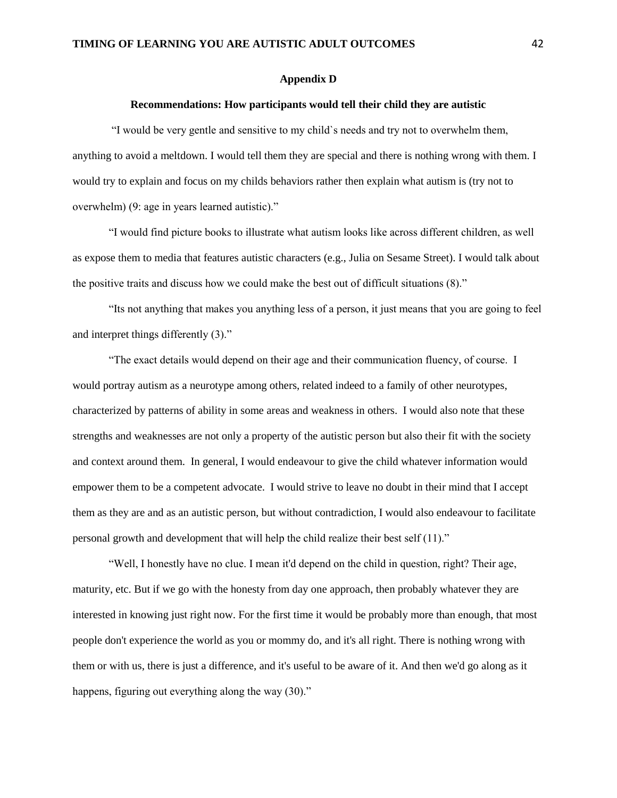#### **Appendix D**

#### **Recommendations: How participants would tell their child they are autistic**

"I would be very gentle and sensitive to my child`s needs and try not to overwhelm them, anything to avoid a meltdown. I would tell them they are special and there is nothing wrong with them. I would try to explain and focus on my childs behaviors rather then explain what autism is (try not to overwhelm) (9: age in years learned autistic)."

"I would find picture books to illustrate what autism looks like across different children, as well as expose them to media that features autistic characters (e.g., Julia on Sesame Street). I would talk about the positive traits and discuss how we could make the best out of difficult situations (8)."

"Its not anything that makes you anything less of a person, it just means that you are going to feel and interpret things differently (3)."

"The exact details would depend on their age and their communication fluency, of course. I would portray autism as a neurotype among others, related indeed to a family of other neurotypes, characterized by patterns of ability in some areas and weakness in others. I would also note that these strengths and weaknesses are not only a property of the autistic person but also their fit with the society and context around them. In general, I would endeavour to give the child whatever information would empower them to be a competent advocate. I would strive to leave no doubt in their mind that I accept them as they are and as an autistic person, but without contradiction, I would also endeavour to facilitate personal growth and development that will help the child realize their best self (11)."

"Well, I honestly have no clue. I mean it'd depend on the child in question, right? Their age, maturity, etc. But if we go with the honesty from day one approach, then probably whatever they are interested in knowing just right now. For the first time it would be probably more than enough, that most people don't experience the world as you or mommy do, and it's all right. There is nothing wrong with them or with us, there is just a difference, and it's useful to be aware of it. And then we'd go along as it happens, figuring out everything along the way (30)."